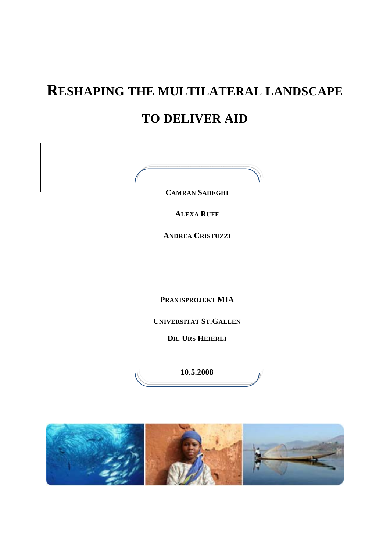# **RESHAPING THE MULTILATERAL LANDSCAPE TO DELIVER AID**

**CAMRAN SADEGHI**

**ALEXA RUFF**

**ANDREA CRISTUZZI**

**PRAXISPROJEKT MIA** 

**UNIVERSITÄT ST.GALLEN**

**DR. URS HEIERLI**



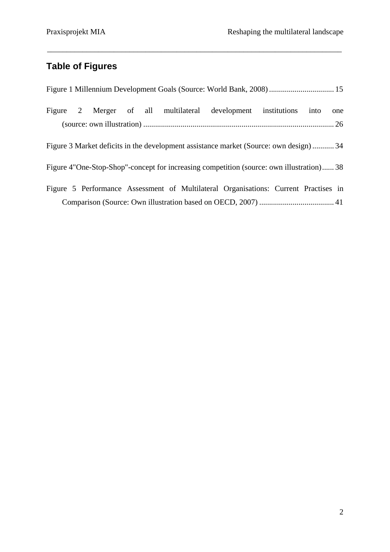# **Table of Figures**

|                                                                                          |  |  |  |  |  |  |  | Figure 2 Merger of all multilateral development institutions into                   |  |  | one |
|------------------------------------------------------------------------------------------|--|--|--|--|--|--|--|-------------------------------------------------------------------------------------|--|--|-----|
|                                                                                          |  |  |  |  |  |  |  |                                                                                     |  |  |     |
| Figure 3 Market deficits in the development assistance market (Source: own design) 34    |  |  |  |  |  |  |  |                                                                                     |  |  |     |
| Figure 4"One-Stop-Shop"-concept for increasing competition (source: own illustration) 38 |  |  |  |  |  |  |  |                                                                                     |  |  |     |
|                                                                                          |  |  |  |  |  |  |  | Figure 5 Performance Assessment of Multilateral Organisations: Current Practises in |  |  |     |
|                                                                                          |  |  |  |  |  |  |  |                                                                                     |  |  |     |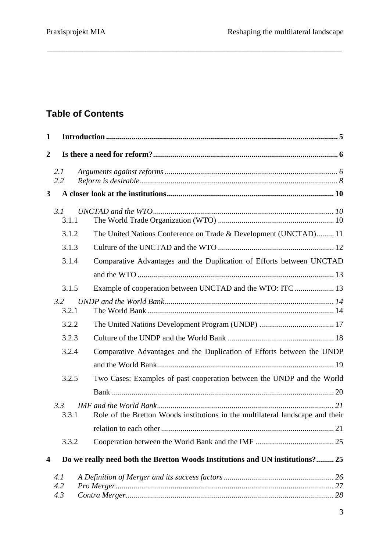# **Table of Contents**

| $\mathbf{1}$            |                   |                                                                                |
|-------------------------|-------------------|--------------------------------------------------------------------------------|
| $\overline{2}$          |                   |                                                                                |
| 3                       | 2.1<br>2.2        |                                                                                |
|                         | 3.1               |                                                                                |
|                         | 3.1.1             |                                                                                |
|                         | 3.1.2             | The United Nations Conference on Trade & Development (UNCTAD) 11               |
|                         | 3.1.3             |                                                                                |
|                         | 3.1.4             | Comparative Advantages and the Duplication of Efforts between UNCTAD           |
|                         |                   |                                                                                |
|                         | 3.1.5             | Example of cooperation between UNCTAD and the WTO: ITC  13                     |
|                         | 3.2<br>3.2.1      |                                                                                |
|                         | 3.2.2             |                                                                                |
|                         | 3.2.3             |                                                                                |
|                         | 3.2.4             | Comparative Advantages and the Duplication of Efforts between the UNDP         |
|                         |                   |                                                                                |
|                         | 3.2.5             | Two Cases: Examples of past cooperation between the UNDP and the World         |
|                         |                   |                                                                                |
|                         | 3.3<br>3.3.1      | Role of the Bretton Woods institutions in the multilateral landscape and their |
|                         |                   |                                                                                |
|                         | 3.3.2             |                                                                                |
| $\overline{\mathbf{4}}$ |                   | Do we really need both the Bretton Woods Institutions and UN institutions? 25  |
|                         | 4.1<br>4.2<br>4.3 |                                                                                |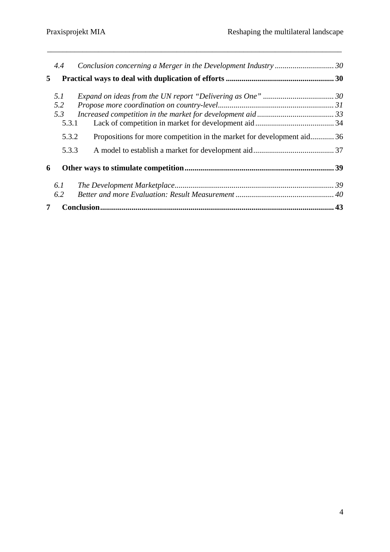|   | 4.4   |                                                                       |    |
|---|-------|-----------------------------------------------------------------------|----|
| 5 |       |                                                                       |    |
|   | 5.1   |                                                                       |    |
|   | 5.2   |                                                                       |    |
|   | 5.3   |                                                                       |    |
|   | 5.3.1 |                                                                       |    |
|   | 5.3.2 | Propositions for more competition in the market for development aid36 |    |
|   | 5.3.3 |                                                                       |    |
| 6 |       |                                                                       |    |
|   | 6.1   |                                                                       |    |
|   | 6.2   |                                                                       |    |
| 7 |       |                                                                       | 43 |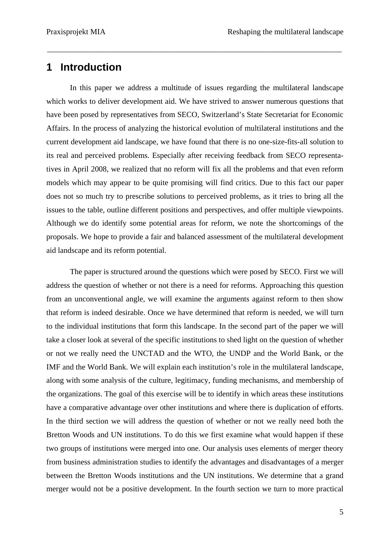# <span id="page-4-1"></span>**1 Introduction**

In this paper we address a multitude of issues regarding the multilateral landscape which works to deliver development aid. We have strived to answer numerous questions that have been posed by representatives from SECO, Switzerland's State Secretariat for Economic Affairs. In the process of analyzing the historical evolution of multilateral institutions and the current development aid landscape, we have found that there is no one-size-fits-all solution to its real and perceived problems. Especially after receiving feedback from SECO representatives in April 2008, we realized that no reform will fix all the problems and that even reform models which may appear to be quite promising will find critics. Due to this fact our paper does not so much try to prescribe solutions to perceived problems, as it tries to bring all the issues to the table, outline different positions and perspectives, and offer multiple viewpoints. Although we do identify some potential areas for reform, we note the shortcomings of the proposals. We hope to provide a fair and balanced assessment of the multilateral development aid landscape and its reform potential.

<span id="page-4-0"></span>\_\_\_\_\_\_\_\_\_\_\_\_\_\_\_\_\_\_\_\_\_\_\_\_\_\_\_\_\_\_\_\_\_\_\_\_\_\_\_\_\_\_\_\_\_\_\_\_\_\_\_\_\_\_\_\_\_\_\_\_\_\_\_\_\_\_\_\_\_\_\_\_\_\_\_

The paper is structured around the questions which were posed by SECO. First we will address the question of whether or not there is a need for reforms. Approaching this question from an unconventional angle, we will examine the arguments against reform to then show that reform is indeed desirable. Once we have determined that reform is needed, we will turn to the individual institutions that form this landscape. In the second part of the paper we will take a closer look at several of the specific institutions to shed light on the question of whether or not we really need the UNCTAD and the WTO, the UNDP and the World Bank, or the IMF and the World Bank. We will explain each institution's role in the multilateral landscape, along with some analysis of the culture, legitimacy, funding mechanisms, and membership of the organizations. The goal of this exercise will be to identify in which areas these institutions have a comparative advantage over other institutions and where there is duplication of efforts. In the third section we will address the question of whether or not we really need both the Bretton Woods and UN institutions. To do this we first examine what would happen if these two groups of institutions were merged into one. Our analysis uses elements of merger theory from business administration studies to identify the advantages and disadvantages of a merger between the Bretton Woods institutions and the UN institutions. We determine that a grand merger would not be a positive development. In the fourth section we turn to more practical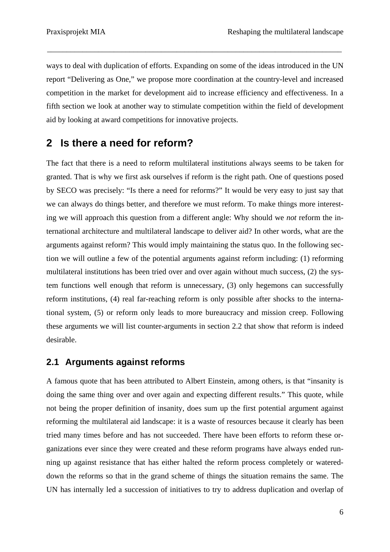ways to deal with duplication of efforts. Expanding on some of the ideas introduced in the UN report "Delivering as One," we propose more coordination at the country-level and increased competition in the market for development aid to increase efficiency and effectiveness. In a fifth section we look at another way to stimulate competition within the field of development aid by looking at award competitions for innovative projects.

<span id="page-5-0"></span>\_\_\_\_\_\_\_\_\_\_\_\_\_\_\_\_\_\_\_\_\_\_\_\_\_\_\_\_\_\_\_\_\_\_\_\_\_\_\_\_\_\_\_\_\_\_\_\_\_\_\_\_\_\_\_\_\_\_\_\_\_\_\_\_\_\_\_\_\_\_\_\_\_\_\_

# <span id="page-5-1"></span>**2 Is there a need for reform?**

The fact that there is a need to reform multilateral institutions always seems to be taken for granted. That is why we first ask ourselves if reform is the right path. One of questions posed by SECO was precisely: "Is there a need for reforms?" It would be very easy to just say that we can always do things better, and therefore we must reform. To make things more interesting we will approach this question from a different angle: Why should we *not* reform the international architecture and multilateral landscape to deliver aid? In other words, what are the arguments against reform? This would imply maintaining the status quo. In the following section we will outline a few of the potential arguments against reform including: (1) reforming multilateral institutions has been tried over and over again without much success, (2) the system functions well enough that reform is unnecessary, (3) only hegemons can successfully reform institutions, (4) real far-reaching reform is only possible after shocks to the international system, (5) or reform only leads to more bureaucracy and mission creep. Following these arguments we will list counter-arguments in section 2.2 that show that reform is indeed desirable.

#### <span id="page-5-2"></span>**2.1 Arguments against reforms**

A famous quote that has been attributed to Albert Einstein, among others, is that "insanity is doing the same thing over and over again and expecting different results." This quote, while not being the proper definition of insanity, does sum up the first potential argument against reforming the multilateral aid landscape: it is a waste of resources because it clearly has been tried many times before and has not succeeded. There have been efforts to reform these organizations ever since they were created and these reform programs have always ended running up against resistance that has either halted the reform process completely or watereddown the reforms so that in the grand scheme of things the situation remains the same. The UN has internally led a succession of initiatives to try to address duplication and overlap of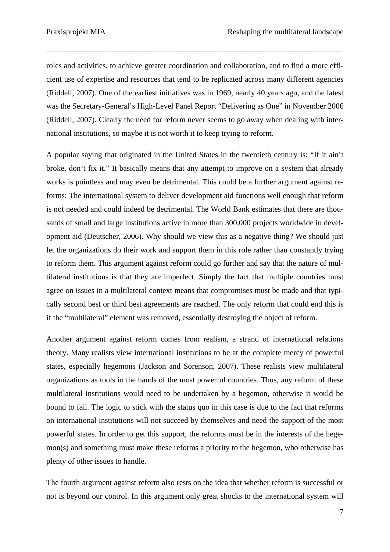roles and activities, to achieve greater coordination and collaboration, and to find a more efficient use of expertise and resources that tend to be replicated across many different agencies (Riddell, 2007). One of the earliest initiatives was in 1969, nearly 40 years ago, and the latest was the Secretary-General's High-Level Panel Report "Delivering as One" in November 2006 (Riddell, 2007). Clearly the need for reform never seems to go away when dealing with international institutions, so maybe it is not worth it to keep trying to reform.

\_\_\_\_\_\_\_\_\_\_\_\_\_\_\_\_\_\_\_\_\_\_\_\_\_\_\_\_\_\_\_\_\_\_\_\_\_\_\_\_\_\_\_\_\_\_\_\_\_\_\_\_\_\_\_\_\_\_\_\_\_\_\_\_\_\_\_\_\_\_\_\_\_\_\_

A popular saying that originated in the United States in the twentieth century is: "If it ain't broke, don't fix it." It basically means that any attempt to improve on a system that already works is pointless and may even be detrimental. This could be a further argument against reforms: The international system to deliver development aid functions well enough that reform is not needed and could indeed be detrimental. The World Bank estimates that there are thousands of small and large institutions active in more than 300,000 projects worldwide in development aid (Deutscher, 2006). Why should we view this as a negative thing? We should just let the organizations do their work and support them in this role rather than constantly trying to reform them. This argument against reform could go further and say that the nature of multilateral institutions is that they are imperfect. Simply the fact that multiple countries must agree on issues in a multilateral context means that compromises must be made and that typically second best or third best agreements are reached. The only reform that could end this is if the "multilateral" element was removed, essentially destroying the object of reform.

Another argument against reform comes from realism, a strand of international relations theory. Many realists view international institutions to be at the complete mercy of powerful states, especially hegemons (Jackson and Sorenson, 2007). These realists view multilateral organizations as tools in the hands of the most powerful countries. Thus, any reform of these multilateral institutions would need to be undertaken by a hegemon, otherwise it would be bound to fail. The logic to stick with the status quo in this case is due to the fact that reforms on international institutions will not succeed by themselves and need the support of the most powerful states. In order to get this support, the reforms must be in the interests of the hegemon(s) and something must make these reforms a priority to the hegemon, who otherwise has plenty of other issues to handle.

The fourth argument against reform also rests on the idea that whether reform is successful or not is beyond our control. In this argument only great shocks to the international system will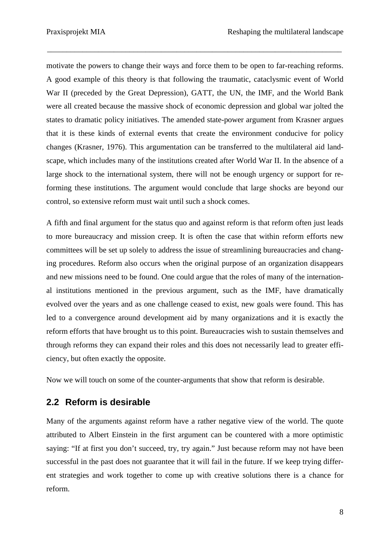motivate the powers to change their ways and force them to be open to far-reaching reforms. A good example of this theory is that following the traumatic, cataclysmic event of World War II (preceded by the Great Depression), GATT, the UN, the IMF, and the World Bank were all created because the massive shock of economic depression and global war jolted the states to dramatic policy initiatives. The amended state-power argument from Krasner argues that it is these kinds of external events that create the environment conducive for policy changes (Krasner, 1976). This argumentation can be transferred to the multilateral aid landscape, which includes many of the institutions created after World War II. In the absence of a large shock to the international system, there will not be enough urgency or support for reforming these institutions. The argument would conclude that large shocks are beyond our control, so extensive reform must wait until such a shock comes.

<span id="page-7-0"></span>\_\_\_\_\_\_\_\_\_\_\_\_\_\_\_\_\_\_\_\_\_\_\_\_\_\_\_\_\_\_\_\_\_\_\_\_\_\_\_\_\_\_\_\_\_\_\_\_\_\_\_\_\_\_\_\_\_\_\_\_\_\_\_\_\_\_\_\_\_\_\_\_\_\_\_

A fifth and final argument for the status quo and against reform is that reform often just leads to more bureaucracy and mission creep. It is often the case that within reform efforts new committees will be set up solely to address the issue of streamlining bureaucracies and changing procedures. Reform also occurs when the original purpose of an organization disappears and new missions need to be found. One could argue that the roles of many of the international institutions mentioned in the previous argument, such as the IMF, have dramatically evolved over the years and as one challenge ceased to exist, new goals were found. This has led to a convergence around development aid by many organizations and it is exactly the reform efforts that have brought us to this point. Bureaucracies wish to sustain themselves and through reforms they can expand their roles and this does not necessarily lead to greater efficiency, but often exactly the opposite.

Now we will touch on some of the counter-arguments that show that reform is desirable.

### <span id="page-7-1"></span>**2.2 Reform is desirable**

Many of the arguments against reform have a rather negative view of the world. The quote attributed to Albert Einstein in the first argument can be countered with a more optimistic saying: "If at first you don't succeed, try, try again." Just because reform may not have been successful in the past does not guarantee that it will fail in the future. If we keep trying different strategies and work together to come up with creative solutions there is a chance for reform.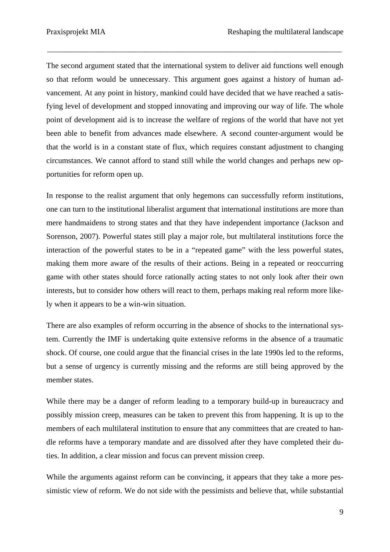The second argument stated that the international system to deliver aid functions well enough so that reform would be unnecessary. This argument goes against a history of human advancement. At any point in history, mankind could have decided that we have reached a satisfying level of development and stopped innovating and improving our way of life. The whole point of development aid is to increase the welfare of regions of the world that have not yet been able to benefit from advances made elsewhere. A second counter-argument would be that the world is in a constant state of flux, which requires constant adjustment to changing circumstances. We cannot afford to stand still while the world changes and perhaps new opportunities for reform open up.

\_\_\_\_\_\_\_\_\_\_\_\_\_\_\_\_\_\_\_\_\_\_\_\_\_\_\_\_\_\_\_\_\_\_\_\_\_\_\_\_\_\_\_\_\_\_\_\_\_\_\_\_\_\_\_\_\_\_\_\_\_\_\_\_\_\_\_\_\_\_\_\_\_\_\_

In response to the realist argument that only hegemons can successfully reform institutions, one can turn to the institutional liberalist argument that international institutions are more than mere handmaidens to strong states and that they have independent importance (Jackson and Sorenson, 2007). Powerful states still play a major role, but multilateral institutions force the interaction of the powerful states to be in a "repeated game" with the less powerful states, making them more aware of the results of their actions. Being in a repeated or reoccurring game with other states should force rationally acting states to not only look after their own interests, but to consider how others will react to them, perhaps making real reform more likely when it appears to be a win-win situation.

There are also examples of reform occurring in the absence of shocks to the international system. Currently the IMF is undertaking quite extensive reforms in the absence of a traumatic shock. Of course, one could argue that the financial crises in the late 1990s led to the reforms, but a sense of urgency is currently missing and the reforms are still being approved by the member states.

While there may be a danger of reform leading to a temporary build-up in bureaucracy and possibly mission creep, measures can be taken to prevent this from happening. It is up to the members of each multilateral institution to ensure that any committees that are created to handle reforms have a temporary mandate and are dissolved after they have completed their duties. In addition, a clear mission and focus can prevent mission creep.

While the arguments against reform can be convincing, it appears that they take a more pessimistic view of reform. We do not side with the pessimists and believe that, while substantial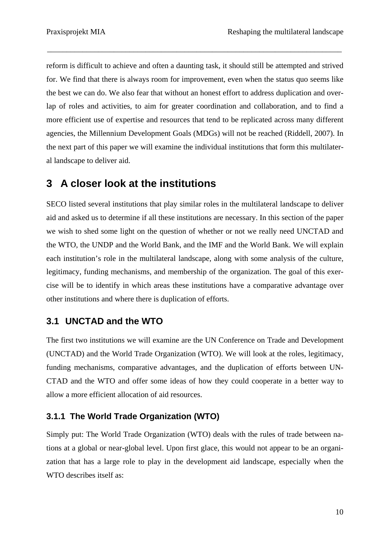reform is difficult to achieve and often a daunting task, it should still be attempted and strived for. We find that there is always room for improvement, even when the status quo seems like the best we can do. We also fear that without an honest effort to address duplication and overlap of roles and activities, to aim for greater coordination and collaboration, and to find a more efficient use of expertise and resources that tend to be replicated across many different agencies, the Millennium Development Goals (MDGs) will not be reached (Riddell, 2007). In the next part of this paper we will examine the individual institutions that form this multilateral landscape to deliver aid.

<span id="page-9-0"></span>\_\_\_\_\_\_\_\_\_\_\_\_\_\_\_\_\_\_\_\_\_\_\_\_\_\_\_\_\_\_\_\_\_\_\_\_\_\_\_\_\_\_\_\_\_\_\_\_\_\_\_\_\_\_\_\_\_\_\_\_\_\_\_\_\_\_\_\_\_\_\_\_\_\_\_

# <span id="page-9-1"></span>**3 A closer look at the institutions**

SECO listed several institutions that play similar roles in the multilateral landscape to deliver aid and asked us to determine if all these institutions are necessary. In this section of the paper we wish to shed some light on the question of whether or not we really need UNCTAD and the WTO, the UNDP and the World Bank, and the IMF and the World Bank. We will explain each institution's role in the multilateral landscape, along with some analysis of the culture, legitimacy, funding mechanisms, and membership of the organization. The goal of this exercise will be to identify in which areas these institutions have a comparative advantage over other institutions and where there is duplication of efforts.

### <span id="page-9-2"></span>**3.1 UNCTAD and the WTO**

The first two institutions we will examine are the UN Conference on Trade and Development (UNCTAD) and the World Trade Organization (WTO). We will look at the roles, legitimacy, funding mechanisms, comparative advantages, and the duplication of efforts between UN-CTAD and the WTO and offer some ideas of how they could cooperate in a better way to allow a more efficient allocation of aid resources.

#### <span id="page-9-3"></span>**3.1.1 The World Trade Organization (WTO)**

Simply put: The World Trade Organization (WTO) deals with the rules of trade between nations at a global or near-global level. Upon first glace, this would not appear to be an organization that has a large role to play in the development aid landscape, especially when the WTO describes itself as: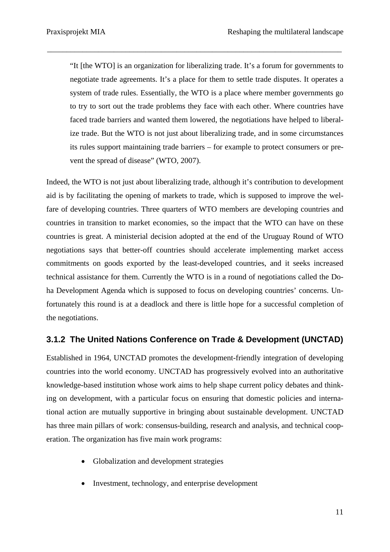"It [the WTO] is an organization for liberalizing trade. It's a forum for governments to negotiate trade agreements. It's a place for them to settle trade disputes. It operates a system of trade rules. Essentially, the WTO is a place where member governments go to try to sort out the trade problems they face with each other. Where countries have faced trade barriers and wanted them lowered, the negotiations have helped to liberalize trade. But the WTO is not just about liberalizing trade, and in some circumstances its rules support maintaining trade barriers – for example to protect consumers or prevent the spread of disease" (WTO, 2007).

<span id="page-10-0"></span>\_\_\_\_\_\_\_\_\_\_\_\_\_\_\_\_\_\_\_\_\_\_\_\_\_\_\_\_\_\_\_\_\_\_\_\_\_\_\_\_\_\_\_\_\_\_\_\_\_\_\_\_\_\_\_\_\_\_\_\_\_\_\_\_\_\_\_\_\_\_\_\_\_\_\_

Indeed, the WTO is not just about liberalizing trade, although it's contribution to development aid is by facilitating the opening of markets to trade, which is supposed to improve the welfare of developing countries. Three quarters of WTO members are developing countries and countries in transition to market economies, so the impact that the WTO can have on these countries is great. A ministerial decision adopted at the end of the Uruguay Round of WTO negotiations says that better-off countries should accelerate implementing market access commitments on goods exported by the least-developed countries, and it seeks increased technical assistance for them. Currently the WTO is in a round of negotiations called the Doha Development Agenda which is supposed to focus on developing countries' concerns. Unfortunately this round is at a deadlock and there is little hope for a successful completion of the negotiations.

### <span id="page-10-1"></span>**3.1.2 The United Nations Conference on Trade & Development (UNCTAD)**

Established in 1964, UNCTAD promotes the development-friendly integration of developing countries into the world economy. UNCTAD has progressively evolved into an authoritative knowledge-based institution whose work aims to help shape current policy debates and thinking on development, with a particular focus on ensuring that domestic policies and international action are mutually supportive in bringing about sustainable development. UNCTAD has three main pillars of work: consensus-building, research and analysis, and technical cooperation. The organization has five main work programs:

- Globalization and development strategies
- Investment, technology, and enterprise development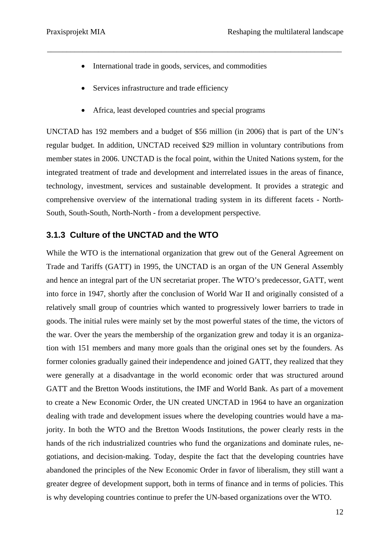- International trade in goods, services, and commodities
- Services infrastructure and trade efficiency
- Africa, least developed countries and special programs

UNCTAD has 192 members and a budget of \$56 million (in 2006) that is part of the UN's regular budget. In addition, UNCTAD received \$29 million in voluntary contributions from member states in 2006. UNCTAD is the focal point, within the United Nations system, for the integrated treatment of trade and development and interrelated issues in the areas of finance, technology, investment, services and sustainable development. It provides a strategic and comprehensive overview of the international trading system in its different facets - North-South, South-South, North-North - from a development perspective.

<span id="page-11-0"></span>\_\_\_\_\_\_\_\_\_\_\_\_\_\_\_\_\_\_\_\_\_\_\_\_\_\_\_\_\_\_\_\_\_\_\_\_\_\_\_\_\_\_\_\_\_\_\_\_\_\_\_\_\_\_\_\_\_\_\_\_\_\_\_\_\_\_\_\_\_\_\_\_\_\_\_

#### <span id="page-11-1"></span>**3.1.3 Culture of the UNCTAD and the WTO**

While the WTO is the international organization that grew out of the General Agreement on Trade and Tariffs (GATT) in 1995, the UNCTAD is an organ of the UN General Assembly and hence an integral part of the UN secretariat proper. The WTO's predecessor, GATT, went into force in 1947, shortly after the conclusion of World War II and originally consisted of a relatively small group of countries which wanted to progressively lower barriers to trade in goods. The initial rules were mainly set by the most powerful states of the time, the victors of the war. Over the years the membership of the organization grew and today it is an organization with 151 members and many more goals than the original ones set by the founders. As former colonies gradually gained their independence and joined GATT, they realized that they were generally at a disadvantage in the world economic order that was structured around GATT and the Bretton Woods institutions, the IMF and World Bank. As part of a movement to create a New Economic Order, the UN created UNCTAD in 1964 to have an organization dealing with trade and development issues where the developing countries would have a majority. In both the WTO and the Bretton Woods Institutions, the power clearly rests in the hands of the rich industrialized countries who fund the organizations and dominate rules, negotiations, and decision-making. Today, despite the fact that the developing countries have abandoned the principles of the New Economic Order in favor of liberalism, they still want a greater degree of development support, both in terms of finance and in terms of policies. This is why developing countries continue to prefer the UN-based organizations over the WTO.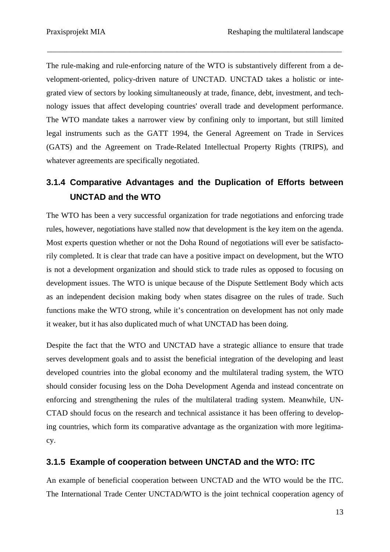The rule-making and rule-enforcing nature of the WTO is substantively different from a development-oriented, policy-driven nature of UNCTAD. UNCTAD takes a holistic or integrated view of sectors by looking simultaneously at trade, finance, debt, investment, and technology issues that affect developing countries' overall trade and development performance. The WTO mandate takes a narrower view by confining only to important, but still limited legal instruments such as the GATT 1994, the General Agreement on Trade in Services (GATS) and the Agreement on Trade-Related Intellectual Property Rights (TRIPS), and whatever agreements are specifically negotiated.

<span id="page-12-0"></span>\_\_\_\_\_\_\_\_\_\_\_\_\_\_\_\_\_\_\_\_\_\_\_\_\_\_\_\_\_\_\_\_\_\_\_\_\_\_\_\_\_\_\_\_\_\_\_\_\_\_\_\_\_\_\_\_\_\_\_\_\_\_\_\_\_\_\_\_\_\_\_\_\_\_\_

# <span id="page-12-1"></span>**3.1.4 Comparative Advantages and the Duplication of Efforts between UNCTAD and the WTO**

The WTO has been a very successful organization for trade negotiations and enforcing trade rules, however, negotiations have stalled now that development is the key item on the agenda. Most experts question whether or not the Doha Round of negotiations will ever be satisfactorily completed. It is clear that trade can have a positive impact on development, but the WTO is not a development organization and should stick to trade rules as opposed to focusing on development issues. The WTO is unique because of the Dispute Settlement Body which acts as an independent decision making body when states disagree on the rules of trade. Such functions make the WTO strong, while it's concentration on development has not only made it weaker, but it has also duplicated much of what UNCTAD has been doing.

Despite the fact that the WTO and UNCTAD have a strategic alliance to ensure that trade serves development goals and to assist the beneficial integration of the developing and least developed countries into the global economy and the multilateral trading system, the WTO should consider focusing less on the Doha Development Agenda and instead concentrate on enforcing and strengthening the rules of the multilateral trading system. Meanwhile, UN-CTAD should focus on the research and technical assistance it has been offering to developing countries, which form its comparative advantage as the organization with more legitimacy.

#### <span id="page-12-2"></span>**3.1.5 Example of cooperation between UNCTAD and the WTO: ITC**

An example of beneficial cooperation between UNCTAD and the WTO would be the ITC. The International Trade Center UNCTAD/WTO is the joint technical cooperation agency of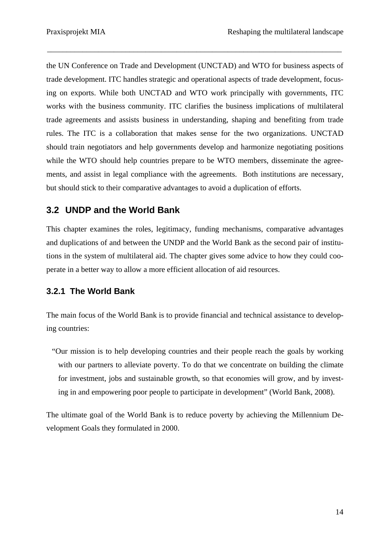the UN Conference on Trade and Development (UNCTAD) and WTO for business aspects of trade development. ITC handles strategic and operational aspects of trade development, focusing on exports. While both UNCTAD and WTO work principally with governments, ITC works with the business community. ITC clarifies the business implications of multilateral trade agreements and assists business in understanding, shaping and benefiting from trade rules. The ITC is a collaboration that makes sense for the two organizations. UNCTAD should train negotiators and help governments develop and harmonize negotiating positions while the WTO should help countries prepare to be WTO members, disseminate the agreements, and assist in legal compliance with the agreements. Both institutions are necessary, but should stick to their comparative advantages to avoid a duplication of efforts.

<span id="page-13-0"></span>\_\_\_\_\_\_\_\_\_\_\_\_\_\_\_\_\_\_\_\_\_\_\_\_\_\_\_\_\_\_\_\_\_\_\_\_\_\_\_\_\_\_\_\_\_\_\_\_\_\_\_\_\_\_\_\_\_\_\_\_\_\_\_\_\_\_\_\_\_\_\_\_\_\_\_

# <span id="page-13-1"></span>**3.2 UNDP and the World Bank**

This chapter examines the roles, legitimacy, funding mechanisms, comparative advantages and duplications of and between the UNDP and the World Bank as the second pair of institutions in the system of multilateral aid. The chapter gives some advice to how they could cooperate in a better way to allow a more efficient allocation of aid resources.

### <span id="page-13-2"></span>**3.2.1 The World Bank**

The main focus of the World Bank is to provide financial and technical assistance to developing countries:

"Our mission is to help developing countries and their people reach the goals by working with our partners to alleviate poverty. To do that we concentrate on building the climate for investment, jobs and sustainable growth, so that economies will grow, and by investing in and empowering poor people to participate in development" (World Bank, 2008).

The ultimate goal of the World Bank is to reduce poverty by achieving the Millennium Development Goals they formulated in 2000.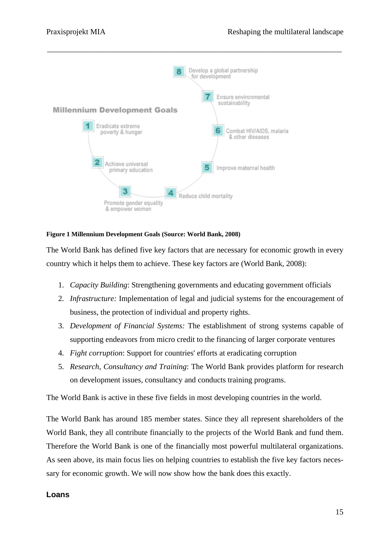<span id="page-14-0"></span>

#### <span id="page-14-1"></span>**Figure 1 Millennium Development Goals (Source: World Bank, 2008)**

The World Bank has defined five key factors that are necessary for economic growth in every country which it helps them to achieve. These key factors are (World Bank, 2008):

- 1. *Capacity Building*: Strengthening governments and educating government officials
- 2. *Infrastructure:* Implementation of legal and judicial systems for the encouragement of business, the protection of individual and property rights.
- 3. *Development of Financial Systems:* The establishment of strong systems capable of supporting endeavors from micro credit to the financing of larger corporate ventures
- 4. *Fight corruption*: Support for countries' efforts at eradicating corruption
- 5. *Research, Consultancy and Training*: The World Bank provides platform for research on development issues, consultancy and conducts training programs.

The World Bank is active in these five fields in most developing countries in the world.

The World Bank has around 185 member states. Since they all represent shareholders of the World Bank, they all contribute financially to the projects of the World Bank and fund them. Therefore the World Bank is one of the financially most powerful multilateral organizations. As seen above, its main focus lies on helping countries to establish the five key factors necessary for economic growth. We will now show how the bank does this exactly.

#### **Loans**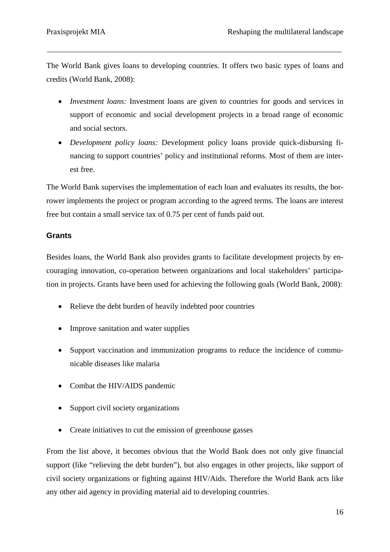The World Bank gives loans to developing countries. It offers two basic types of loans and credits (World Bank, 2008):

\_\_\_\_\_\_\_\_\_\_\_\_\_\_\_\_\_\_\_\_\_\_\_\_\_\_\_\_\_\_\_\_\_\_\_\_\_\_\_\_\_\_\_\_\_\_\_\_\_\_\_\_\_\_\_\_\_\_\_\_\_\_\_\_\_\_\_\_\_\_\_\_\_\_\_

- *Investment loans:* Investment loans are given to countries for goods and services in support of economic and social development projects in a broad range of economic and social sectors.
- *Development policy loans:* Development policy loans provide quick-disbursing financing to support countries' policy and institutional reforms. Most of them are interest free.

The World Bank supervises the implementation of each loan and evaluates its results, the borrower implements the project or program according to the agreed terms. The loans are interest free but contain a small service tax of 0.75 per cent of funds paid out.

#### **Grants**

Besides loans, the World Bank also provides grants to facilitate development projects by encouraging innovation, co-operation between organizations and local stakeholders' participation in projects. Grants have been used for achieving the following goals (World Bank, 2008):

- Relieve the debt burden of heavily indebted poor countries
- Improve sanitation and water supplies
- Support vaccination and immunization programs to reduce the incidence of communicable diseases like malaria
- Combat the HIV/AIDS pandemic
- Support civil society organizations
- Create initiatives to cut the emission of greenhouse gasses

From the list above, it becomes obvious that the World Bank does not only give financial support (like "relieving the debt burden"), but also engages in other projects, like support of civil society organizations or fighting against HIV/Aids. Therefore the World Bank acts like any other aid agency in providing material aid to developing countries.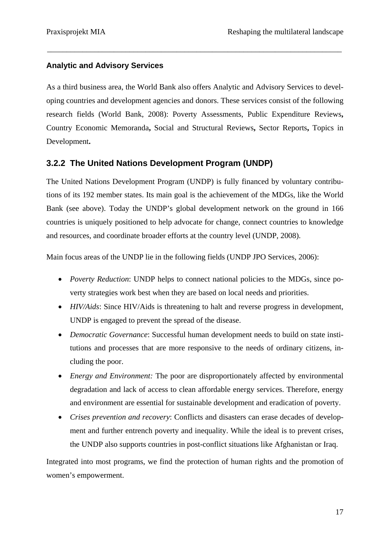### **Analytic and Advisory Services**

As a third business area, the World Bank also offers Analytic and Advisory Services to developing countries and development agencies and donors. These services consist of the following research fields (World Bank, 2008): [Poverty Assessments,](http://www-wds.worldbank.org/external/default/main?query=poverty%20assessments&dAtts=DOCDT,DOCNA,REPNB,DOCTY,LANG,VOLNB,REPNME&docType=0&majorDocTY=658100&menuPK=64187290&pagePK=64187835&pageSize=10&piPK=64620093&sType=2&sortDesc=DOCDT&sortOrderby=DOCDT&theSitePK=523679) [Public Expenditure Reviews](http://www-wds.worldbank.org/external/default/main?query=Public%20Expenditure%20Reviews&dAtts=DOCDT,DOCNA,REPNB,DOCTY,LANG,VOLNB,REPNME&docType=0&majorDocTY=658100&menuPK=64187290&pagePK=64187835&pageSize=10&piPK=64620093&sType=2&sortDesc=DOCDT&sortOrderby=DOCDT&theSitePK=523679)**,**  [Country Economic Memoranda](http://www-wds.worldbank.org/external/default/main?query=Country%20Economic%20Memoranda&dAtts=DOCDT,DOCNA,REPNB,DOCTY,LANG,VOLNB,REPNME&docType=0&majorDocTY=658100&menuPK=64187290&pagePK=64187835&pageSize=10&piPK=64620093&sType=2&sortDesc=DOCDT&sortOrderby=DOCDT&theSitePK=523679)**,** [Social and Structural Reviews](http://www-wds.worldbank.org/external/default/main?query=Social%20and%20Structural%20Reviews&dAtts=DOCDT,DOCNA,REPNB,DOCTY,LANG,VOLNB,REPNME&docType=0&majorDocTY=658100&menuPK=64187290&pagePK=64187835&pageSize=10&piPK=64620093&sType=2&sortDesc=DOCDT&sortOrderby=DOCDT&theSitePK=523679)**,** [Sector Reports](http://www-wds.worldbank.org/external/default/main?menuPK=64258546&pagePK=64187838&piPK=64187928&theSitePK=523679&function=BrowseFR&pathtreeid=MAJDOCTY_DOCTY&sortattcode=DOCDT+Desc&menuPK=64187552&siteName=WDS&conceptattcode=658100%7C540667)**,** [Topics in](http://www.worldbank.org/topics)  [Development](http://www.worldbank.org/topics)**.** 

<span id="page-16-0"></span>\_\_\_\_\_\_\_\_\_\_\_\_\_\_\_\_\_\_\_\_\_\_\_\_\_\_\_\_\_\_\_\_\_\_\_\_\_\_\_\_\_\_\_\_\_\_\_\_\_\_\_\_\_\_\_\_\_\_\_\_\_\_\_\_\_\_\_\_\_\_\_\_\_\_\_

### <span id="page-16-1"></span>**3.2.2 The United Nations Development Program (UNDP)**

The United Nations Development Program (UNDP) is fully financed by voluntary contributions of its 192 member states. Its main goal is the achievement of the MDGs, like the World Bank (see above). Today the UNDP's global development network on the ground in 166 countries is uniquely positioned to help advocate for change, connect countries to knowledge and resources, and coordinate broader efforts at the country level (UNDP, 2008).

Main focus areas of the UNDP lie in the following fields (UNDP JPO Services, 2006):

- *Poverty Reduction*: UNDP helps to connect national policies to the MDGs, since poverty strategies work best when they are based on local needs and priorities.
- *HIV/Aids*: Since HIV/Aids is threatening to halt and reverse progress in development, UNDP is engaged to prevent the spread of the disease.
- *Democratic Governance*: Successful human development needs to build on state institutions and processes that are more responsive to the needs of ordinary citizens, including the poor.
- *Energy and Environment:* The poor are disproportionately affected by environmental degradation and lack of access to clean affordable energy services. Therefore, energy and environment are essential for sustainable development and eradication of poverty.
- *Crises prevention and recovery*: Conflicts and disasters can erase decades of development and further entrench poverty and inequality. While the ideal is to prevent crises, the UNDP also supports countries in post-conflict situations like Afghanistan or Iraq.

Integrated into most programs, we find the protection of human rights and the promotion of women's empowerment.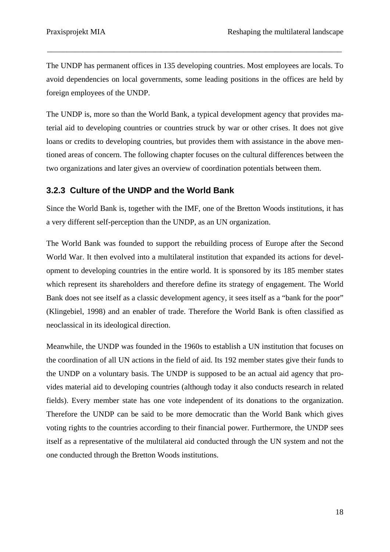The UNDP has permanent offices in 135 developing countries. Most employees are locals. To avoid dependencies on local governments, some leading positions in the offices are held by foreign employees of the UNDP.

<span id="page-17-0"></span>\_\_\_\_\_\_\_\_\_\_\_\_\_\_\_\_\_\_\_\_\_\_\_\_\_\_\_\_\_\_\_\_\_\_\_\_\_\_\_\_\_\_\_\_\_\_\_\_\_\_\_\_\_\_\_\_\_\_\_\_\_\_\_\_\_\_\_\_\_\_\_\_\_\_\_

The UNDP is, more so than the World Bank, a typical development agency that provides material aid to developing countries or countries struck by war or other crises. It does not give loans or credits to developing countries, but provides them with assistance in the above mentioned areas of concern. The following chapter focuses on the cultural differences between the two organizations and later gives an overview of coordination potentials between them.

### <span id="page-17-1"></span>**3.2.3 Culture of the UNDP and the World Bank**

Since the World Bank is, together with the IMF, one of the Bretton Woods institutions, it has a very different self-perception than the UNDP, as an UN organization.

The World Bank was founded to support the rebuilding process of Europe after the Second World War. It then evolved into a multilateral institution that expanded its actions for development to developing countries in the entire world. It is sponsored by its 185 member states which represent its shareholders and therefore define its strategy of engagement. The World Bank does not see itself as a classic development agency, it sees itself as a "bank for the poor" (Klingebiel, 1998) and an enabler of trade. Therefore the World Bank is often classified as neoclassical in its ideological direction.

Meanwhile, the UNDP was founded in the 1960s to establish a UN institution that focuses on the coordination of all UN actions in the field of aid. Its 192 member states give their funds to the UNDP on a voluntary basis. The UNDP is supposed to be an actual aid agency that provides material aid to developing countries (although today it also conducts research in related fields). Every member state has one vote independent of its donations to the organization. Therefore the UNDP can be said to be more democratic than the World Bank which gives voting rights to the countries according to their financial power. Furthermore, the UNDP sees itself as a representative of the multilateral aid conducted through the UN system and not the one conducted through the Bretton Woods institutions.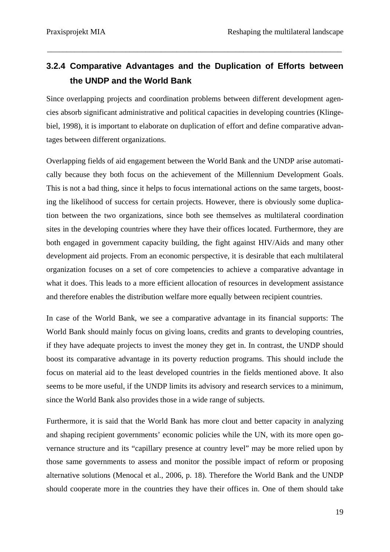# <span id="page-18-1"></span>**3.2.4 Comparative Advantages and the Duplication of Efforts between the UNDP and the World Bank**

<span id="page-18-0"></span>\_\_\_\_\_\_\_\_\_\_\_\_\_\_\_\_\_\_\_\_\_\_\_\_\_\_\_\_\_\_\_\_\_\_\_\_\_\_\_\_\_\_\_\_\_\_\_\_\_\_\_\_\_\_\_\_\_\_\_\_\_\_\_\_\_\_\_\_\_\_\_\_\_\_\_

Since overlapping projects and coordination problems between different development agencies absorb significant administrative and political capacities in developing countries (Klingebiel, 1998), it is important to elaborate on duplication of effort and define comparative advantages between different organizations.

Overlapping fields of aid engagement between the World Bank and the UNDP arise automatically because they both focus on the achievement of the Millennium Development Goals. This is not a bad thing, since it helps to focus international actions on the same targets, boosting the likelihood of success for certain projects. However, there is obviously some duplication between the two organizations, since both see themselves as multilateral coordination sites in the developing countries where they have their offices located. Furthermore, they are both engaged in government capacity building, the fight against HIV/Aids and many other development aid projects. From an economic perspective, it is desirable that each multilateral organization focuses on a set of core competencies to achieve a comparative advantage in what it does. This leads to a more efficient allocation of resources in development assistance and therefore enables the distribution welfare more equally between recipient countries.

In case of the World Bank, we see a comparative advantage in its financial supports: The World Bank should mainly focus on giving loans, credits and grants to developing countries, if they have adequate projects to invest the money they get in. In contrast, the UNDP should boost its comparative advantage in its poverty reduction programs. This should include the focus on material aid to the least developed countries in the fields mentioned above. It also seems to be more useful, if the UNDP limits its advisory and research services to a minimum, since the World Bank also provides those in a wide range of subjects.

Furthermore, it is said that the World Bank has more clout and better capacity in analyzing and shaping recipient governments' economic policies while the UN, with its more open governance structure and its "capillary presence at country level" may be more relied upon by those same governments to assess and monitor the possible impact of reform or proposing alternative solutions (Menocal et al., 2006, p. 18). Therefore the World Bank and the UNDP should cooperate more in the countries they have their offices in. One of them should take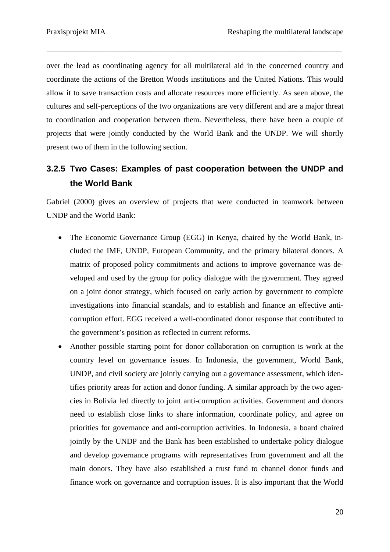over the lead as coordinating agency for all multilateral aid in the concerned country and coordinate the actions of the Bretton Woods institutions and the United Nations. This would allow it to save transaction costs and allocate resources more efficiently. As seen above, the cultures and self-perceptions of the two organizations are very different and are a major threat to coordination and cooperation between them. Nevertheless, there have been a couple of projects that were jointly conducted by the World Bank and the UNDP. We will shortly present two of them in the following section.

<span id="page-19-0"></span>\_\_\_\_\_\_\_\_\_\_\_\_\_\_\_\_\_\_\_\_\_\_\_\_\_\_\_\_\_\_\_\_\_\_\_\_\_\_\_\_\_\_\_\_\_\_\_\_\_\_\_\_\_\_\_\_\_\_\_\_\_\_\_\_\_\_\_\_\_\_\_\_\_\_\_

# <span id="page-19-1"></span>**3.2.5 Two Cases: Examples of past cooperation between the UNDP and the World Bank**

Gabriel (2000) gives an overview of projects that were conducted in teamwork between UNDP and the World Bank:

- The Economic Governance Group (EGG) in Kenya, chaired by the World Bank, included the IMF, UNDP, European Community, and the primary bilateral donors. A matrix of proposed policy commitments and actions to improve governance was developed and used by the group for policy dialogue with the government. They agreed on a joint donor strategy, which focused on early action by government to complete investigations into financial scandals, and to establish and finance an effective anticorruption effort. EGG received a well-coordinated donor response that contributed to the government's position as reflected in current reforms.
- Another possible starting point for donor collaboration on corruption is work at the country level on governance issues. In Indonesia, the government, World Bank, UNDP, and civil society are jointly carrying out a governance assessment, which identifies priority areas for action and donor funding. A similar approach by the two agencies in Bolivia led directly to joint anti-corruption activities. Government and donors need to establish close links to share information, coordinate policy, and agree on priorities for governance and anti-corruption activities. In Indonesia, a board chaired jointly by the UNDP and the Bank has been established to undertake policy dialogue and develop governance programs with representatives from government and all the main donors. They have also established a trust fund to channel donor funds and finance work on governance and corruption issues. It is also important that the World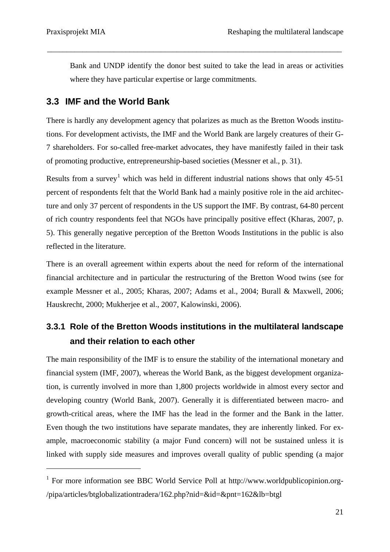1

Bank and UNDP identify the donor best suited to take the lead in areas or activities where they have particular expertise or large commitments.

<span id="page-20-0"></span>\_\_\_\_\_\_\_\_\_\_\_\_\_\_\_\_\_\_\_\_\_\_\_\_\_\_\_\_\_\_\_\_\_\_\_\_\_\_\_\_\_\_\_\_\_\_\_\_\_\_\_\_\_\_\_\_\_\_\_\_\_\_\_\_\_\_\_\_\_\_\_\_\_\_\_

## <span id="page-20-1"></span>**3.3 IMF and the World Bank**

There is hardly any development agency that polarizes as much as the Bretton Woods institutions. For development activists, the IMF and the World Bank are largely creatures of their G-7 shareholders. For so-called free-market advocates, they have manifestly failed in their task of promoting productive, entrepreneurship-based societies (Messner et al., p. 31).

Results from a survey<sup>[1](#page-20-3)</sup> which was held in different industrial nations shows that only  $45-51$ percent of respondents felt that the World Bank had a mainly positive role in the aid architecture and only 37 percent of respondents in the US support the IMF. By contrast, 64-80 percent of rich country respondents feel that NGOs have principally positive effect (Kharas, 2007, p. 5). This generally negative perception of the Bretton Woods Institutions in the public is also reflected in the literature.

There is an overall agreement within experts about the need for reform of the international financial architecture and in particular the restructuring of the Bretton Wood twins (see for example Messner et al., 2005; Kharas, 2007; Adams et al., 2004; Burall & Maxwell, 2006; Hauskrecht, 2000; Mukherjee et al., 2007, Kalowinski, 2006).

# <span id="page-20-2"></span>**3.3.1 Role of the Bretton Woods institutions in the multilateral landscape and their relation to each other**

The main responsibility of the IMF is to ensure the stability of the international monetary and financial system (IMF, 2007), whereas the World Bank, as the biggest development organization, is currently involved in more than 1,800 projects worldwide in almost every sector and developing country (World Bank, 2007). Generally it is differentiated between macro- and growth-critical areas, where the IMF has the lead in the former and the Bank in the latter. Even though the two institutions have separate mandates, they are inherently linked. For example, macroeconomic stability (a major Fund concern) will not be sustained unless it is linked with supply side measures and improves overall quality of public spending (a major

<span id="page-20-3"></span><sup>&</sup>lt;sup>1</sup> For more information see BBC World Service Poll at http://www.worldpublicopinion.org-/pipa/articles/btglobalizationtradera/162.php?nid=&id=&pnt=162&lb=btgl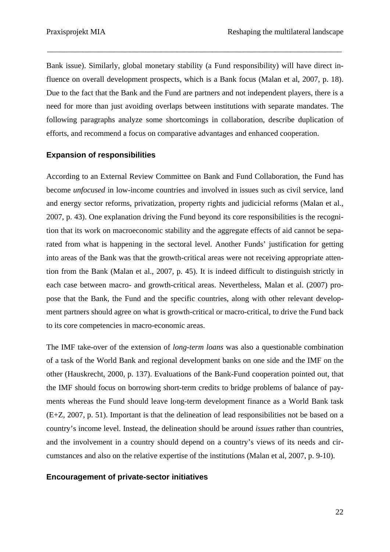Bank issue). Similarly, global monetary stability (a Fund responsibility) will have direct influence on overall development prospects, which is a Bank focus (Malan et al, 2007, p. 18). Due to the fact that the Bank and the Fund are partners and not independent players, there is a need for more than just avoiding overlaps between institutions with separate mandates. The following paragraphs analyze some shortcomings in collaboration, describe duplication of efforts, and recommend a focus on comparative advantages and enhanced cooperation.

\_\_\_\_\_\_\_\_\_\_\_\_\_\_\_\_\_\_\_\_\_\_\_\_\_\_\_\_\_\_\_\_\_\_\_\_\_\_\_\_\_\_\_\_\_\_\_\_\_\_\_\_\_\_\_\_\_\_\_\_\_\_\_\_\_\_\_\_\_\_\_\_\_\_\_

#### **Expansion of responsibilities**

According to an External Review Committee on Bank and Fund Collaboration, the Fund has become *unfocused* in low-income countries and involved in issues such as civil service, land and energy sector reforms, privatization, property rights and judicicial reforms (Malan et al., 2007, p. 43). One explanation driving the Fund beyond its core responsibilities is the recognition that its work on macroeconomic stability and the aggregate effects of aid cannot be separated from what is happening in the sectoral level. Another Funds' justification for getting into areas of the Bank was that the growth-critical areas were not receiving appropriate attention from the Bank (Malan et al., 2007, p. 45). It is indeed difficult to distinguish strictly in each case between macro- and growth-critical areas. Nevertheless, Malan et al. (2007) propose that the Bank, the Fund and the specific countries, along with other relevant development partners should agree on what is growth-critical or macro-critical, to drive the Fund back to its core competencies in macro-economic areas.

The IMF take-over of the extension of *long-term loans* was also a questionable combination of a task of the World Bank and regional development banks on one side and the IMF on the other (Hauskrecht, 2000, p. 137). Evaluations of the Bank-Fund cooperation pointed out, that the IMF should focus on borrowing short-term credits to bridge problems of balance of payments whereas the Fund should leave long-term development finance as a World Bank task (E+Z, 2007, p. 51). Important is that the delineation of lead responsibilities not be based on a country's income level. Instead, the delineation should be around *issues* rather than countries, and the involvement in a country should depend on a country's views of its needs and circumstances and also on the relative expertise of the institutions (Malan et al, 2007, p. 9-10).

#### **Encouragement of private-sector initiatives**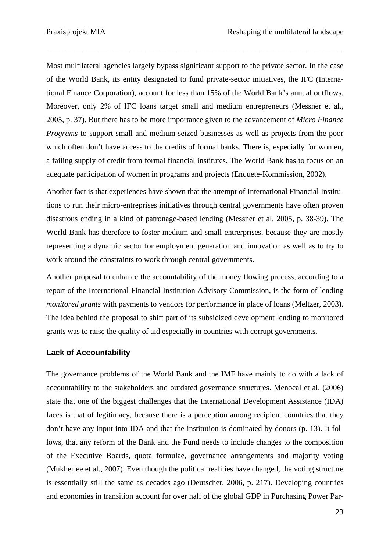Most multilateral agencies largely bypass significant support to the private sector. In the case of the World Bank, its entity designated to fund private-sector initiatives, the IFC (International Finance Corporation), account for less than 15% of the World Bank's annual outflows. Moreover, only 2% of IFC loans target small and medium entrepreneurs (Messner et al., 2005, p. 37). But there has to be more importance given to the advancement of *Micro Finance Programs* to support small and medium-seized businesses as well as projects from the poor which often don't have access to the credits of formal banks. There is, especially for women, a failing supply of credit from formal financial institutes. The World Bank has to focus on an adequate participation of women in programs and projects (Enquete-Kommission, 2002).

\_\_\_\_\_\_\_\_\_\_\_\_\_\_\_\_\_\_\_\_\_\_\_\_\_\_\_\_\_\_\_\_\_\_\_\_\_\_\_\_\_\_\_\_\_\_\_\_\_\_\_\_\_\_\_\_\_\_\_\_\_\_\_\_\_\_\_\_\_\_\_\_\_\_\_

Another fact is that experiences have shown that the attempt of International Financial Institutions to run their micro-entreprises initiatives through central governments have often proven disastrous ending in a kind of patronage-based lending (Messner et al. 2005, p. 38-39). The World Bank has therefore to foster medium and small entrerprises, because they are mostly representing a dynamic sector for employment generation and innovation as well as to try to work around the constraints to work through central governments.

Another proposal to enhance the accountability of the money flowing process, according to a report of the International Financial Institution Advisory Commission, is the form of lending *monitored grants* with payments to vendors for performance in place of loans (Meltzer, 2003). The idea behind the proposal to shift part of its subsidized development lending to monitored grants was to raise the quality of aid especially in countries with corrupt governments.

#### **Lack of Accountability**

The governance problems of the World Bank and the IMF have mainly to do with a lack of accountability to the stakeholders and outdated governance structures. Menocal et al. (2006) state that one of the biggest challenges that the International Development Assistance (IDA) faces is that of legitimacy, because there is a perception among recipient countries that they don't have any input into IDA and that the institution is dominated by donors (p. 13). It follows, that any reform of the Bank and the Fund needs to include changes to the composition of the Executive Boards, quota formulae, governance arrangements and majority voting (Mukherjee et al., 2007). Even though the political realities have changed, the voting structure is essentially still the same as decades ago (Deutscher, 2006, p. 217). Developing countries and economies in transition account for over half of the global GDP in Purchasing Power Par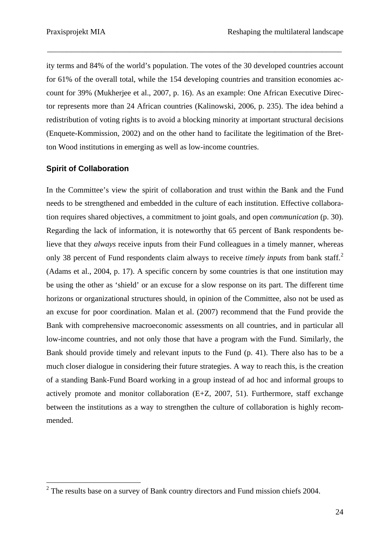ity terms and 84% of the world's population. The votes of the 30 developed countries account for 61% of the overall total, while the 154 developing countries and transition economies account for 39% (Mukherjee et al., 2007, p. 16). As an example: One African Executive Director represents more than 24 African countries (Kalinowski, 2006, p. 235). The idea behind a redistribution of voting rights is to avoid a blocking minority at important structural decisions (Enquete-Kommission, 2002) and on the other hand to facilitate the legitimation of the Bretton Wood institutions in emerging as well as low-income countries.

\_\_\_\_\_\_\_\_\_\_\_\_\_\_\_\_\_\_\_\_\_\_\_\_\_\_\_\_\_\_\_\_\_\_\_\_\_\_\_\_\_\_\_\_\_\_\_\_\_\_\_\_\_\_\_\_\_\_\_\_\_\_\_\_\_\_\_\_\_\_\_\_\_\_\_

#### **Spirit of Collaboration**

In the Committee's view the spirit of collaboration and trust within the Bank and the Fund needs to be strengthened and embedded in the culture of each institution. Effective collaboration requires shared objectives, a commitment to joint goals, and open *communication* (p. 30). Regarding the lack of information, it is noteworthy that 65 percent of Bank respondents believe that they *always* receive inputs from their Fund colleagues in a timely manner, whereas only 38 percent of Fund respondents claim always to receive *timely inputs* from bank staff.[2](#page-23-0) (Adams et al., 2004, p. 17). A specific concern by some countries is that one institution may be using the other as 'shield' or an excuse for a slow response on its part. The different time horizons or organizational structures should, in opinion of the Committee, also not be used as an excuse for poor coordination. Malan et al. (2007) recommend that the Fund provide the Bank with comprehensive macroeconomic assessments on all countries, and in particular all low-income countries, and not only those that have a program with the Fund. Similarly, the Bank should provide timely and relevant inputs to the Fund (p. 41). There also has to be a much closer dialogue in considering their future strategies. A way to reach this, is the creation of a standing Bank-Fund Board working in a group instead of ad hoc and informal groups to actively promote and monitor collaboration (E+Z, 2007, 51). Furthermore, staff exchange between the institutions as a way to strengthen the culture of collaboration is highly recommended.

<span id="page-23-0"></span><sup>&</sup>lt;sup>2</sup> The results base on a survey of Bank country directors and Fund mission chiefs 2004.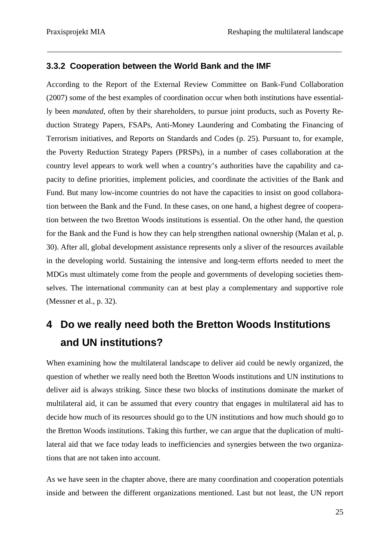### <span id="page-24-1"></span>**3.3.2 Cooperation between the World Bank and the IMF**

According to the Report of the External Review Committee on Bank-Fund Collaboration (2007) some of the best examples of coordination occur when both institutions have essentially been *mandated*, often by their shareholders, to pursue joint products, such as Poverty Reduction Strategy Papers, FSAPs, Anti-Money Laundering and Combating the Financing of Terrorism initiatives, and Reports on Standards and Codes (p. 25). Pursuant to, for example, the Poverty Reduction Strategy Papers (PRSPs), in a number of cases collaboration at the country level appears to work well when a country's authorities have the capability and capacity to define priorities, implement policies, and coordinate the activities of the Bank and Fund. But many low-income countries do not have the capacities to insist on good collaboration between the Bank and the Fund. In these cases, on one hand, a highest degree of cooperation between the two Bretton Woods institutions is essential. On the other hand, the question for the Bank and the Fund is how they can help strengthen national ownership (Malan et al, p. 30). After all, global development assistance represents only a sliver of the resources available in the developing world. Sustaining the intensive and long-term efforts needed to meet the MDGs must ultimately come from the people and governments of developing societies themselves. The international community can at best play a complementary and supportive role (Messner et al., p. 32).

<span id="page-24-0"></span>\_\_\_\_\_\_\_\_\_\_\_\_\_\_\_\_\_\_\_\_\_\_\_\_\_\_\_\_\_\_\_\_\_\_\_\_\_\_\_\_\_\_\_\_\_\_\_\_\_\_\_\_\_\_\_\_\_\_\_\_\_\_\_\_\_\_\_\_\_\_\_\_\_\_\_

# <span id="page-24-2"></span>**4 Do we really need both the Bretton Woods Institutions and UN institutions?**

When examining how the multilateral landscape to deliver aid could be newly organized, the question of whether we really need both the Bretton Woods institutions and UN institutions to deliver aid is always striking. Since these two blocks of institutions dominate the market of multilateral aid, it can be assumed that every country that engages in multilateral aid has to decide how much of its resources should go to the UN institutions and how much should go to the Bretton Woods institutions. Taking this further, we can argue that the duplication of multilateral aid that we face today leads to inefficiencies and synergies between the two organizations that are not taken into account.

As we have seen in the chapter above, there are many coordination and cooperation potentials inside and between the different organizations mentioned. Last but not least, the UN report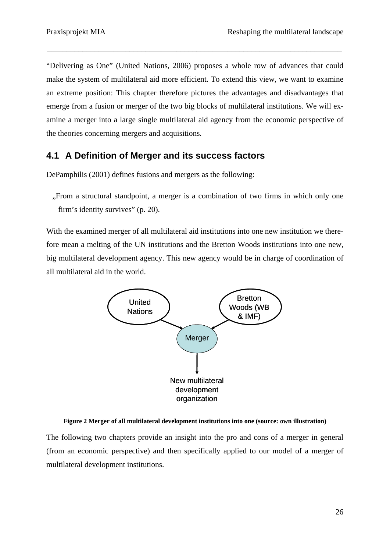"Delivering as One" (United Nations, 2006) proposes a whole row of advances that could make the system of multilateral aid more efficient. To extend this view, we want to examine an extreme position: This chapter therefore pictures the advantages and disadvantages that emerge from a fusion or merger of the two big blocks of multilateral institutions. We will examine a merger into a large single multilateral aid agency from the economic perspective of the theories concerning mergers and acquisitions.

<span id="page-25-0"></span>\_\_\_\_\_\_\_\_\_\_\_\_\_\_\_\_\_\_\_\_\_\_\_\_\_\_\_\_\_\_\_\_\_\_\_\_\_\_\_\_\_\_\_\_\_\_\_\_\_\_\_\_\_\_\_\_\_\_\_\_\_\_\_\_\_\_\_\_\_\_\_\_\_\_\_

# <span id="page-25-2"></span>**4.1 A Definition of Merger and its success factors**

DePamphilis (2001) defines fusions and mergers as the following:

"From a structural standpoint, a merger is a combination of two firms in which only one firm's identity survives" (p. 20).

With the examined merger of all multilateral aid institutions into one new institution we therefore mean a melting of the UN institutions and the Bretton Woods institutions into one new, big multilateral development agency. This new agency would be in charge of coordination of all multilateral aid in the world.



#### **Figure 2 Merger of all multilateral development institutions into one (source: own illustration)**

<span id="page-25-1"></span>The following two chapters provide an insight into the pro and cons of a merger in general (from an economic perspective) and then specifically applied to our model of a merger of multilateral development institutions.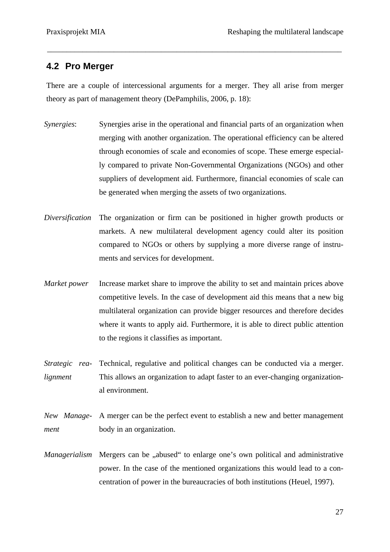# <span id="page-26-1"></span><span id="page-26-0"></span>**4.2 Pro Merger**

There are a couple of intercessional arguments for a merger. They all arise from merger theory as part of management theory (DePamphilis, 2006, p. 18):

- *Synergies*: Synergies arise in the operational and financial parts of an organization when merging with another organization. The operational efficiency can be altered through economies of scale and economies of scope. These emerge especially compared to private Non-Governmental Organizations (NGOs) and other suppliers of development aid. Furthermore, financial economies of scale can be generated when merging the assets of two organizations.
- *Diversification* The organization or firm can be positioned in higher growth products or markets. A new multilateral development agency could alter its position compared to NGOs or others by supplying a more diverse range of instruments and services for development.
- *Market power* Increase market share to improve the ability to set and maintain prices above competitive levels. In the case of development aid this means that a new big multilateral organization can provide bigger resources and therefore decides where it wants to apply aid. Furthermore, it is able to direct public attention to the regions it classifies as important.
- *Strategic realignment*  Technical, regulative and political changes can be conducted via a merger. This allows an organization to adapt faster to an ever-changing organizational environment.
- *New Management*  A merger can be the perfect event to establish a new and better management body in an organization.
- *Managerialism* Mergers can be "abused" to enlarge one's own political and administrative power. In the case of the mentioned organizations this would lead to a concentration of power in the bureaucracies of both institutions (Heuel, 1997).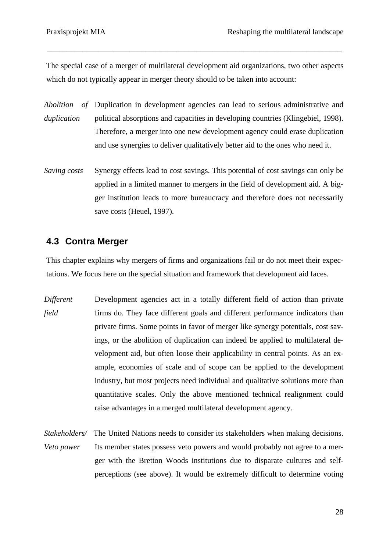The special case of a merger of multilateral development aid organizations, two other aspects which do not typically appear in merger theory should to be taken into account:

<span id="page-27-0"></span>\_\_\_\_\_\_\_\_\_\_\_\_\_\_\_\_\_\_\_\_\_\_\_\_\_\_\_\_\_\_\_\_\_\_\_\_\_\_\_\_\_\_\_\_\_\_\_\_\_\_\_\_\_\_\_\_\_\_\_\_\_\_\_\_\_\_\_\_\_\_\_\_\_\_\_

- *Abolition of*  Duplication in development agencies can lead to serious administrative and *duplication*  political absorptions and capacities in developing countries (Klingebiel, 1998). Therefore, a merger into one new development agency could erase duplication and use synergies to deliver qualitatively better aid to the ones who need it.
- Saving costs Synergy effects lead to cost savings. This potential of cost savings can only be applied in a limited manner to mergers in the field of development aid. A bigger institution leads to more bureaucracy and therefore does not necessarily save costs (Heuel, 1997).

### <span id="page-27-1"></span>**4.3 Contra Merger**

This chapter explains why mergers of firms and organizations fail or do not meet their expectations. We focus here on the special situation and framework that development aid faces.

- *Different field*  Development agencies act in a totally different field of action than private firms do. They face different goals and different performance indicators than private firms. Some points in favor of merger like synergy potentials, cost savings, or the abolition of duplication can indeed be applied to multilateral development aid, but often loose their applicability in central points. As an example, economies of scale and of scope can be applied to the development industry, but most projects need individual and qualitative solutions more than quantitative scales. Only the above mentioned technical realignment could raise advantages in a merged multilateral development agency.
- *Stakeholders/ Veto power*  The United Nations needs to consider its stakeholders when making decisions. Its member states possess veto powers and would probably not agree to a merger with the Bretton Woods institutions due to disparate cultures and selfperceptions (see above). It would be extremely difficult to determine voting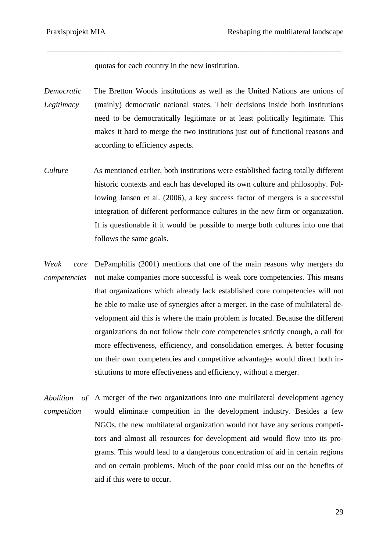quotas for each country in the new institution.

*Democratic Legitimacy*  The Bretton Woods institutions as well as the United Nations are unions of (mainly) democratic national states. Their decisions inside both institutions need to be democratically legitimate or at least politically legitimate. This makes it hard to merge the two institutions just out of functional reasons and according to efficiency aspects.

- *Culture* As mentioned earlier, both institutions were established facing totally different historic contexts and each has developed its own culture and philosophy. Following Jansen et al. (2006), a key success factor of mergers is a successful integration of different performance cultures in the new firm or organization. It is questionable if it would be possible to merge both cultures into one that follows the same goals.
- *Weak core competencies*  DePamphilis (2001) mentions that one of the main reasons why mergers do not make companies more successful is weak core competencies. This means that organizations which already lack established core competencies will not be able to make use of synergies after a merger. In the case of multilateral development aid this is where the main problem is located. Because the different organizations do not follow their core competencies strictly enough, a call for more effectiveness, efficiency, and consolidation emerges. A better focusing on their own competencies and competitive advantages would direct both institutions to more effectiveness and efficiency, without a merger.
- *Abolition of*  A merger of the two organizations into one multilateral development agency *competition*  would eliminate competition in the development industry. Besides a few NGOs, the new multilateral organization would not have any serious competitors and almost all resources for development aid would flow into its programs. This would lead to a dangerous concentration of aid in certain regions and on certain problems. Much of the poor could miss out on the benefits of aid if this were to occur.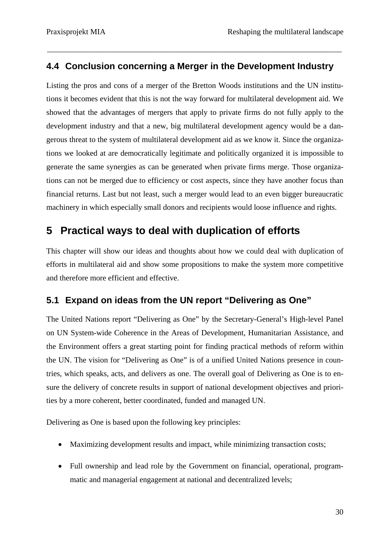# <span id="page-29-1"></span>**4.4 Conclusion concerning a Merger in the Development Industry**

<span id="page-29-0"></span>\_\_\_\_\_\_\_\_\_\_\_\_\_\_\_\_\_\_\_\_\_\_\_\_\_\_\_\_\_\_\_\_\_\_\_\_\_\_\_\_\_\_\_\_\_\_\_\_\_\_\_\_\_\_\_\_\_\_\_\_\_\_\_\_\_\_\_\_\_\_\_\_\_\_\_

Listing the pros and cons of a merger of the Bretton Woods institutions and the UN institutions it becomes evident that this is not the way forward for multilateral development aid. We showed that the advantages of mergers that apply to private firms do not fully apply to the development industry and that a new, big multilateral development agency would be a dangerous threat to the system of multilateral development aid as we know it. Since the organizations we looked at are democratically legitimate and politically organized it is impossible to generate the same synergies as can be generated when private firms merge. Those organizations can not be merged due to efficiency or cost aspects, since they have another focus than financial returns. Last but not least, such a merger would lead to an even bigger bureaucratic machinery in which especially small donors and recipients would loose influence and rights.

# <span id="page-29-2"></span>**5 Practical ways to deal with duplication of efforts**

This chapter will show our ideas and thoughts about how we could deal with duplication of efforts in multilateral aid and show some propositions to make the system more competitive and therefore more efficient and effective.

# <span id="page-29-3"></span>**5.1 Expand on ideas from the UN report "Delivering as One"**

The United Nations report "Delivering as One" by the Secretary-General's High-level Panel on UN System-wide Coherence in the Areas of Development, Humanitarian Assistance, and the Environment offers a great starting point for finding practical methods of reform within the UN. The vision for "Delivering as One" is of a unified United Nations presence in countries, which speaks, acts, and delivers as one. The overall goal of Delivering as One is to ensure the delivery of concrete results in support of national development objectives and priorities by a more coherent, better coordinated, funded and managed UN.

Delivering as One is based upon the following key principles:

- Maximizing development results and impact, while minimizing transaction costs;
- Full ownership and lead role by the Government on financial, operational, programmatic and managerial engagement at national and decentralized levels;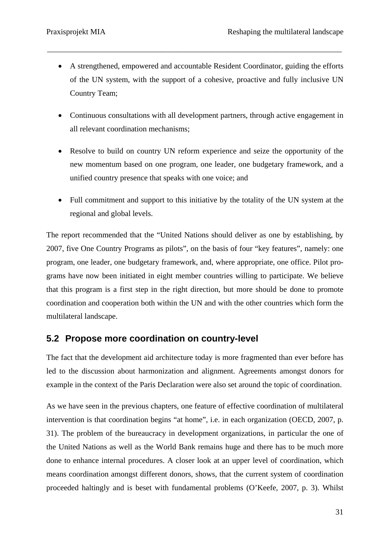• A strengthened, empowered and accountable Resident Coordinator, guiding the efforts of the UN system, with the support of a cohesive, proactive and fully inclusive UN Country Team;

<span id="page-30-0"></span>\_\_\_\_\_\_\_\_\_\_\_\_\_\_\_\_\_\_\_\_\_\_\_\_\_\_\_\_\_\_\_\_\_\_\_\_\_\_\_\_\_\_\_\_\_\_\_\_\_\_\_\_\_\_\_\_\_\_\_\_\_\_\_\_\_\_\_\_\_\_\_\_\_\_\_

- Continuous consultations with all development partners, through active engagement in all relevant coordination mechanisms;
- Resolve to build on country UN reform experience and seize the opportunity of the new momentum based on one program, one leader, one budgetary framework, and a unified country presence that speaks with one voice; and
- Full commitment and support to this initiative by the totality of the UN system at the regional and global levels.

The report recommended that the "United Nations should deliver as one by establishing, by 2007, five One Country Programs as pilots", on the basis of four "key features", namely: one program, one leader, one budgetary framework, and, where appropriate, one office. Pilot programs have now been initiated in eight member countries willing to participate. We believe that this program is a first step in the right direction, but more should be done to promote coordination and cooperation both within the UN and with the other countries which form the multilateral landscape.

### <span id="page-30-1"></span>**5.2 Propose more coordination on country-level**

The fact that the development aid architecture today is more fragmented than ever before has led to the discussion about harmonization and alignment. Agreements amongst donors for example in the context of the Paris Declaration were also set around the topic of coordination.

As we have seen in the previous chapters, one feature of effective coordination of multilateral intervention is that coordination begins "at home", i.e. in each organization (OECD, 2007, p. 31). The problem of the bureaucracy in development organizations, in particular the one of the United Nations as well as the World Bank remains huge and there has to be much more done to enhance internal procedures. A closer look at an upper level of coordination, which means coordination amongst different donors, shows, that the current system of coordination proceeded haltingly and is beset with fundamental problems (O'Keefe, 2007, p. 3). Whilst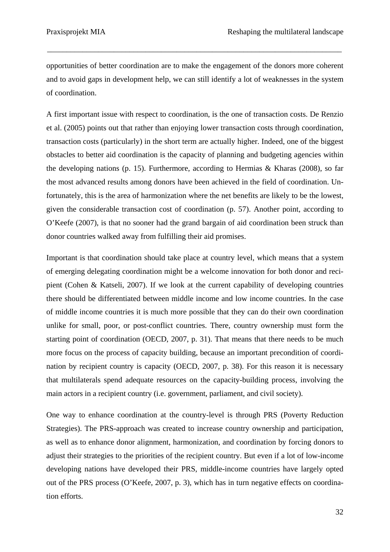opportunities of better coordination are to make the engagement of the donors more coherent and to avoid gaps in development help, we can still identify a lot of weaknesses in the system of coordination.

\_\_\_\_\_\_\_\_\_\_\_\_\_\_\_\_\_\_\_\_\_\_\_\_\_\_\_\_\_\_\_\_\_\_\_\_\_\_\_\_\_\_\_\_\_\_\_\_\_\_\_\_\_\_\_\_\_\_\_\_\_\_\_\_\_\_\_\_\_\_\_\_\_\_\_

A first important issue with respect to coordination, is the one of transaction costs. De Renzio et al. (2005) points out that rather than enjoying lower transaction costs through coordination, transaction costs (particularly) in the short term are actually higher. Indeed, one of the biggest obstacles to better aid coordination is the capacity of planning and budgeting agencies within the developing nations (p. 15). Furthermore, according to Hermias & Kharas (2008), so far the most advanced results among donors have been achieved in the field of coordination. Unfortunately, this is the area of harmonization where the net benefits are likely to be the lowest, given the considerable transaction cost of coordination (p. 57). Another point, according to O'Keefe (2007), is that no sooner had the grand bargain of aid coordination been struck than donor countries walked away from fulfilling their aid promises.

Important is that coordination should take place at country level, which means that a system of emerging delegating coordination might be a welcome innovation for both donor and recipient (Cohen & Katseli, 2007). If we look at the current capability of developing countries there should be differentiated between middle income and low income countries. In the case of middle income countries it is much more possible that they can do their own coordination unlike for small, poor, or post-conflict countries. There, country ownership must form the starting point of coordination (OECD, 2007, p. 31). That means that there needs to be much more focus on the process of capacity building, because an important precondition of coordination by recipient country is capacity (OECD, 2007, p. 38). For this reason it is necessary that multilaterals spend adequate resources on the capacity-building process, involving the main actors in a recipient country (i.e. government, parliament, and civil society).

One way to enhance coordination at the country-level is through PRS (Poverty Reduction Strategies). The PRS-approach was created to increase country ownership and participation, as well as to enhance donor alignment, harmonization, and coordination by forcing donors to adjust their strategies to the priorities of the recipient country. But even if a lot of low-income developing nations have developed their PRS, middle-income countries have largely opted out of the PRS process (O'Keefe, 2007, p. 3), which has in turn negative effects on coordination efforts.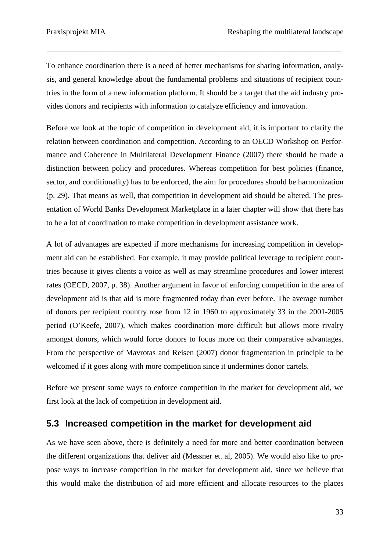To enhance coordination there is a need of better mechanisms for sharing information, analysis, and general knowledge about the fundamental problems and situations of recipient countries in the form of a new information platform. It should be a target that the aid industry provides donors and recipients with information to catalyze efficiency and innovation.

<span id="page-32-0"></span>\_\_\_\_\_\_\_\_\_\_\_\_\_\_\_\_\_\_\_\_\_\_\_\_\_\_\_\_\_\_\_\_\_\_\_\_\_\_\_\_\_\_\_\_\_\_\_\_\_\_\_\_\_\_\_\_\_\_\_\_\_\_\_\_\_\_\_\_\_\_\_\_\_\_\_

Before we look at the topic of competition in development aid, it is important to clarify the relation between coordination and competition. According to an OECD Workshop on Performance and Coherence in Multilateral Development Finance (2007) there should be made a distinction between policy and procedures. Whereas competition for best policies (finance, sector, and conditionality) has to be enforced, the aim for procedures should be harmonization (p. 29). That means as well, that competition in development aid should be altered. The presentation of World Banks Development Marketplace in a later chapter will show that there has to be a lot of coordination to make competition in development assistance work.

A lot of advantages are expected if more mechanisms for increasing competition in development aid can be established. For example, it may provide political leverage to recipient countries because it gives clients a voice as well as may streamline procedures and lower interest rates (OECD, 2007, p. 38). Another argument in favor of enforcing competition in the area of development aid is that aid is more fragmented today than ever before. The average number of donors per recipient country rose from 12 in 1960 to approximately 33 in the 2001-2005 period (O'Keefe, 2007), which makes coordination more difficult but allows more rivalry amongst donors, which would force donors to focus more on their comparative advantages. From the perspective of Mavrotas and Reisen (2007) donor fragmentation in principle to be welcomed if it goes along with more competition since it undermines donor cartels.

Before we present some ways to enforce competition in the market for development aid, we first look at the lack of competition in development aid.

### <span id="page-32-1"></span>**5.3 Increased competition in the market for development aid**

As we have seen above, there is definitely a need for more and better coordination between the different organizations that deliver aid (Messner et. al, 2005). We would also like to propose ways to increase competition in the market for development aid, since we believe that this would make the distribution of aid more efficient and allocate resources to the places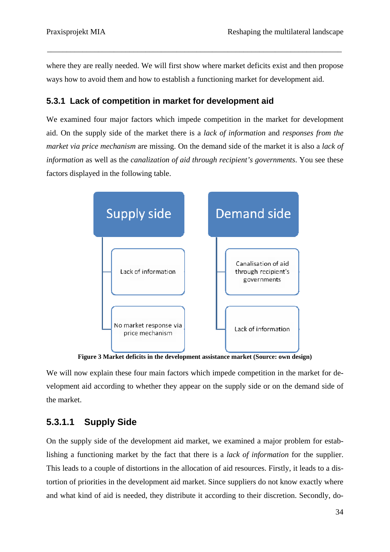where they are really needed. We will first show where market deficits exist and then propose ways how to avoid them and how to establish a functioning market for development aid.

<span id="page-33-0"></span>\_\_\_\_\_\_\_\_\_\_\_\_\_\_\_\_\_\_\_\_\_\_\_\_\_\_\_\_\_\_\_\_\_\_\_\_\_\_\_\_\_\_\_\_\_\_\_\_\_\_\_\_\_\_\_\_\_\_\_\_\_\_\_\_\_\_\_\_\_\_\_\_\_\_\_

## <span id="page-33-2"></span>**5.3.1 Lack of competition in market for development aid**

We examined four major factors which impede competition in the market for development aid. On the supply side of the market there is a *lack of information* and *responses from the market via price mechanism* are missing. On the demand side of the market it is also a *lack of information* as well as the *canalization of aid through recipient's governments*. You see these factors displayed in the following table.

<span id="page-33-1"></span>

**Figure 3 Market deficits in the development assistance market (Source: own design)** 

We will now explain these four main factors which impede competition in the market for development aid according to whether they appear on the supply side or on the demand side of the market.

# **5.3.1.1 Supply Side**

On the supply side of the development aid market, we examined a major problem for establishing a functioning market by the fact that there is a *lack of information* for the supplier. This leads to a couple of distortions in the allocation of aid resources. Firstly, it leads to a distortion of priorities in the development aid market. Since suppliers do not know exactly where and what kind of aid is needed, they distribute it according to their discretion. Secondly, do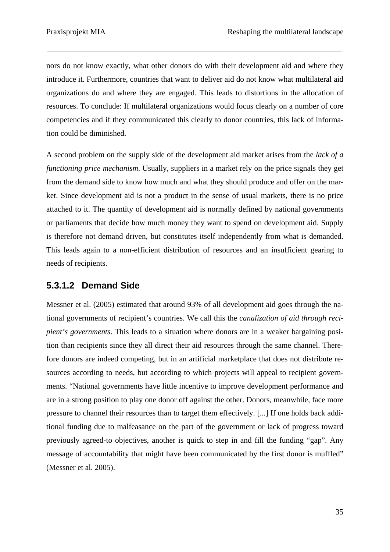nors do not know exactly, what other donors do with their development aid and where they introduce it. Furthermore, countries that want to deliver aid do not know what multilateral aid organizations do and where they are engaged. This leads to distortions in the allocation of resources. To conclude: If multilateral organizations would focus clearly on a number of core competencies and if they communicated this clearly to donor countries, this lack of information could be diminished.

\_\_\_\_\_\_\_\_\_\_\_\_\_\_\_\_\_\_\_\_\_\_\_\_\_\_\_\_\_\_\_\_\_\_\_\_\_\_\_\_\_\_\_\_\_\_\_\_\_\_\_\_\_\_\_\_\_\_\_\_\_\_\_\_\_\_\_\_\_\_\_\_\_\_\_

A second problem on the supply side of the development aid market arises from the *lack of a functioning price mechanism*. Usually, suppliers in a market rely on the price signals they get from the demand side to know how much and what they should produce and offer on the market. Since development aid is not a product in the sense of usual markets, there is no price attached to it. The quantity of development aid is normally defined by national governments or parliaments that decide how much money they want to spend on development aid. Supply is therefore not demand driven, but constitutes itself independently from what is demanded. This leads again to a non-efficient distribution of resources and an insufficient gearing to needs of recipients.

### **5.3.1.2 Demand Side**

Messner et al. (2005) estimated that around 93% of all development aid goes through the national governments of recipient's countries. We call this the *canalization of aid through recipient's governments*. This leads to a situation where donors are in a weaker bargaining position than recipients since they all direct their aid resources through the same channel. Therefore donors are indeed competing, but in an artificial marketplace that does not distribute resources according to needs, but according to which projects will appeal to recipient governments. "National governments have little incentive to improve development performance and are in a strong position to play one donor off against the other. Donors, meanwhile, face more pressure to channel their resources than to target them effectively. [...] If one holds back additional funding due to malfeasance on the part of the government or lack of progress toward previously agreed-to objectives, another is quick to step in and fill the funding "gap". Any message of accountability that might have been communicated by the first donor is muffled" (Messner et al. 2005).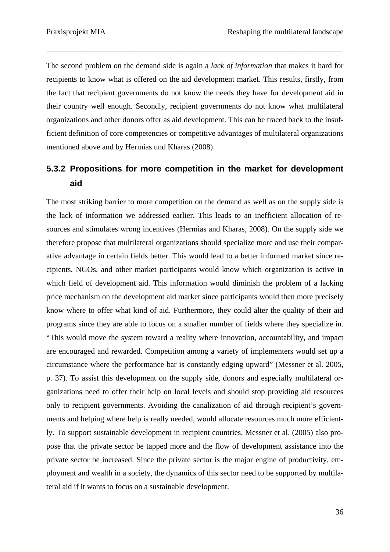The second problem on the demand side is again a *lack of information* that makes it hard for recipients to know what is offered on the aid development market. This results, firstly, from the fact that recipient governments do not know the needs they have for development aid in their country well enough. Secondly, recipient governments do not know what multilateral organizations and other donors offer as aid development. This can be traced back to the insufficient definition of core competencies or competitive advantages of multilateral organizations mentioned above and by Hermias und Kharas (2008).

<span id="page-35-0"></span>\_\_\_\_\_\_\_\_\_\_\_\_\_\_\_\_\_\_\_\_\_\_\_\_\_\_\_\_\_\_\_\_\_\_\_\_\_\_\_\_\_\_\_\_\_\_\_\_\_\_\_\_\_\_\_\_\_\_\_\_\_\_\_\_\_\_\_\_\_\_\_\_\_\_\_

# <span id="page-35-1"></span>**5.3.2 Propositions for more competition in the market for development aid**

The most striking barrier to more competition on the demand as well as on the supply side is the lack of information we addressed earlier. This leads to an inefficient allocation of resources and stimulates wrong incentives (Hermias and Kharas, 2008). On the supply side we therefore propose that multilateral organizations should specialize more and use their comparative advantage in certain fields better. This would lead to a better informed market since recipients, NGOs, and other market participants would know which organization is active in which field of development aid. This information would diminish the problem of a lacking price mechanism on the development aid market since participants would then more precisely know where to offer what kind of aid. Furthermore, they could alter the quality of their aid programs since they are able to focus on a smaller number of fields where they specialize in. "This would move the system toward a reality where innovation, accountability, and impact are encouraged and rewarded. Competition among a variety of implementers would set up a circumstance where the performance bar is constantly edging upward" (Messner et al. 2005, p. 37). To assist this development on the supply side, donors and especially multilateral organizations need to offer their help on local levels and should stop providing aid resources only to recipient governments. Avoiding the canalization of aid through recipient's governments and helping where help is really needed, would allocate resources much more efficiently. To support sustainable development in recipient countries, Messner et al. (2005) also propose that the private sector be tapped more and the flow of development assistance into the private sector be increased. Since the private sector is the major engine of productivity, employment and wealth in a society, the dynamics of this sector need to be supported by multilateral aid if it wants to focus on a sustainable development.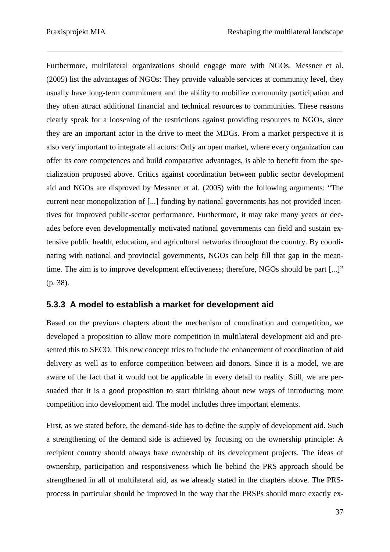Furthermore, multilateral organizations should engage more with NGOs. Messner et al. (2005) list the advantages of NGOs: They provide valuable services at community level, they usually have long-term commitment and the ability to mobilize community participation and they often attract additional financial and technical resources to communities. These reasons clearly speak for a loosening of the restrictions against providing resources to NGOs, since they are an important actor in the drive to meet the MDGs. From a market perspective it is also very important to integrate all actors: Only an open market, where every organization can offer its core competences and build comparative advantages, is able to benefit from the specialization proposed above. Critics against coordination between public sector development aid and NGOs are disproved by Messner et al. (2005) with the following arguments: "The current near monopolization of [...] funding by national governments has not provided incentives for improved public-sector performance. Furthermore, it may take many years or decades before even developmentally motivated national governments can field and sustain extensive public health, education, and agricultural networks throughout the country. By coordinating with national and provincial governments, NGOs can help fill that gap in the meantime. The aim is to improve development effectiveness; therefore, NGOs should be part [...]" (p. 38).

<span id="page-36-0"></span>\_\_\_\_\_\_\_\_\_\_\_\_\_\_\_\_\_\_\_\_\_\_\_\_\_\_\_\_\_\_\_\_\_\_\_\_\_\_\_\_\_\_\_\_\_\_\_\_\_\_\_\_\_\_\_\_\_\_\_\_\_\_\_\_\_\_\_\_\_\_\_\_\_\_\_

#### <span id="page-36-1"></span>**5.3.3 A model to establish a market for development aid**

Based on the previous chapters about the mechanism of coordination and competition, we developed a proposition to allow more competition in multilateral development aid and presented this to SECO. This new concept tries to include the enhancement of coordination of aid delivery as well as to enforce competition between aid donors. Since it is a model, we are aware of the fact that it would not be applicable in every detail to reality. Still, we are persuaded that it is a good proposition to start thinking about new ways of introducing more competition into development aid. The model includes three important elements.

First, as we stated before, the demand-side has to define the supply of development aid. Such a strengthening of the demand side is achieved by focusing on the ownership principle: A recipient country should always have ownership of its development projects. The ideas of ownership, participation and responsiveness which lie behind the PRS approach should be strengthened in all of multilateral aid, as we already stated in the chapters above. The PRSprocess in particular should be improved in the way that the PRSPs should more exactly ex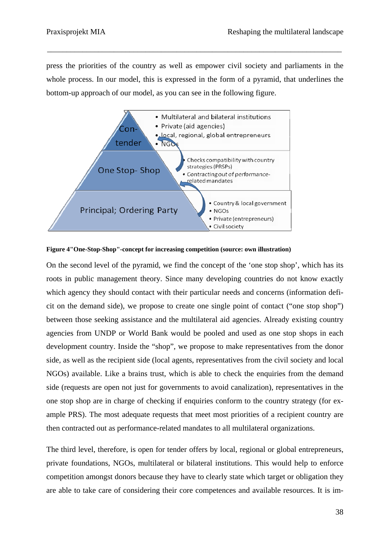press the priorities of the country as well as empower civil society and parliaments in the whole process. In our model, this is expressed in the form of a pyramid, that underlines the bottom-up approach of our model, as you can see in the following figure.

<span id="page-37-0"></span>\_\_\_\_\_\_\_\_\_\_\_\_\_\_\_\_\_\_\_\_\_\_\_\_\_\_\_\_\_\_\_\_\_\_\_\_\_\_\_\_\_\_\_\_\_\_\_\_\_\_\_\_\_\_\_\_\_\_\_\_\_\_\_\_\_\_\_\_\_\_\_\_\_\_\_



<span id="page-37-1"></span>**Figure 4"One-Stop-Shop"-concept for increasing competition (source: own illustration)**

On the second level of the pyramid, we find the concept of the 'one stop shop', which has its roots in public management theory. Since many developing countries do not know exactly which agency they should contact with their particular needs and concerns (information deficit on the demand side), we propose to create one single point of contact ("one stop shop") between those seeking assistance and the multilateral aid agencies. Already existing country agencies from UNDP or World Bank would be pooled and used as one stop shops in each development country. Inside the "shop", we propose to make representatives from the donor side, as well as the recipient side (local agents, representatives from the civil society and local NGOs) available. Like a brains trust, which is able to check the enquiries from the demand side (requests are open not just for governments to avoid canalization), representatives in the one stop shop are in charge of checking if enquiries conform to the country strategy (for example PRS). The most adequate requests that meet most priorities of a recipient country are then contracted out as performance-related mandates to all multilateral organizations.

The third level, therefore, is open for tender offers by local, regional or global entrepreneurs, private foundations, NGOs, multilateral or bilateral institutions. This would help to enforce competition amongst donors because they have to clearly state which target or obligation they are able to take care of considering their core competences and available resources. It is im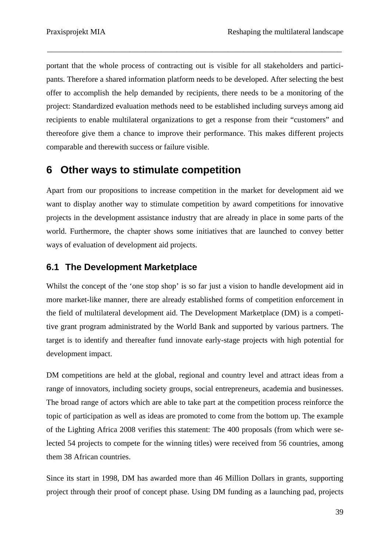portant that the whole process of contracting out is visible for all stakeholders and participants. Therefore a shared information platform needs to be developed. After selecting the best offer to accomplish the help demanded by recipients, there needs to be a monitoring of the project: Standardized evaluation methods need to be established including surveys among aid recipients to enable multilateral organizations to get a response from their "customers" and thereofore give them a chance to improve their performance. This makes different projects comparable and therewith success or failure visible.

<span id="page-38-0"></span>\_\_\_\_\_\_\_\_\_\_\_\_\_\_\_\_\_\_\_\_\_\_\_\_\_\_\_\_\_\_\_\_\_\_\_\_\_\_\_\_\_\_\_\_\_\_\_\_\_\_\_\_\_\_\_\_\_\_\_\_\_\_\_\_\_\_\_\_\_\_\_\_\_\_\_

# <span id="page-38-1"></span>**6 Other ways to stimulate competition**

Apart from our propositions to increase competition in the market for development aid we want to display another way to stimulate competition by award competitions for innovative projects in the development assistance industry that are already in place in some parts of the world. Furthermore, the chapter shows some initiatives that are launched to convey better ways of evaluation of development aid projects.

# <span id="page-38-2"></span>**6.1 The Development Marketplace**

Whilst the concept of the 'one stop shop' is so far just a vision to handle development aid in more market-like manner, there are already established forms of competition enforcement in the field of multilateral development aid. The Development Marketplace (DM) is a competitive grant program administrated by the World Bank and supported by various partners. The target is to identify and thereafter fund innovate early-stage projects with high potential for development impact.

DM competitions are held at the global, regional and country level and attract ideas from a range of innovators, including society groups, social entrepreneurs, academia and businesses. The broad range of actors which are able to take part at the competition process reinforce the topic of participation as well as ideas are promoted to come from the bottom up. The example of the Lighting Africa 2008 verifies this statement: The 400 proposals (from which were selected 54 projects to compete for the winning titles) were received from 56 countries, among them 38 African countries.

Since its start in 1998, DM has awarded more than 46 Million Dollars in grants, supporting project through their proof of concept phase. Using DM funding as a launching pad, projects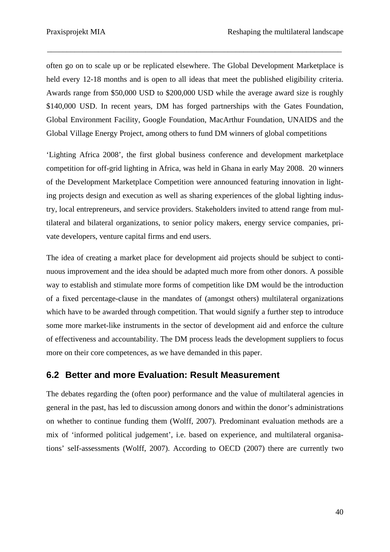often go on to scale up or be replicated elsewhere. The Global Development Marketplace is held every 12-18 months and is open to all ideas that meet the published eligibility criteria. Awards range from \$50,000 USD to \$200,000 USD while the average award size is roughly \$140,000 USD. In recent years, DM has forged partnerships with the Gates Foundation, Global Environment Facility, Google Foundation, MacArthur Foundation, UNAIDS and the Global Village Energy Project, among others to fund DM winners of global competitions

<span id="page-39-0"></span>\_\_\_\_\_\_\_\_\_\_\_\_\_\_\_\_\_\_\_\_\_\_\_\_\_\_\_\_\_\_\_\_\_\_\_\_\_\_\_\_\_\_\_\_\_\_\_\_\_\_\_\_\_\_\_\_\_\_\_\_\_\_\_\_\_\_\_\_\_\_\_\_\_\_\_

'Lighting Africa 2008', the first global business conference and development marketplace competition for off-grid lighting in Africa, was held in Ghana in early May 2008. 20 winners of the Development Marketplace Competition were announced featuring innovation in lighting projects design and execution as well as sharing experiences of the global lighting industry, local entrepreneurs, and service providers. Stakeholders invited to attend range from multilateral and bilateral organizations, to senior policy makers, energy service companies, private developers, venture capital firms and end users.

The idea of creating a market place for development aid projects should be subject to continuous improvement and the idea should be adapted much more from other donors. A possible way to establish and stimulate more forms of competition like DM would be the introduction of a fixed percentage-clause in the mandates of (amongst others) multilateral organizations which have to be awarded through competition. That would signify a further step to introduce some more market-like instruments in the sector of development aid and enforce the culture of effectiveness and accountability. The DM process leads the development suppliers to focus more on their core competences, as we have demanded in this paper.

### <span id="page-39-1"></span>**6.2 Better and more Evaluation: Result Measurement**

The debates regarding the (often poor) performance and the value of multilateral agencies in general in the past, has led to discussion among donors and within the donor's administrations on whether to continue funding them (Wolff, 2007). Predominant evaluation methods are a mix of 'informed political judgement', i.e. based on experience, and multilateral organisations' self-assessments (Wolff, 2007). According to OECD (2007) there are currently two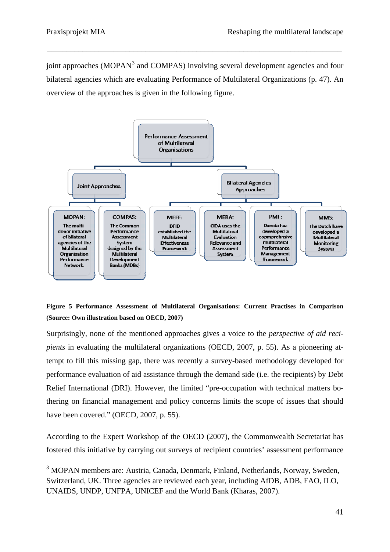1

joint approaches (MOPAN<sup>[3](#page-40-2)</sup> and COMPAS) involving several development agencies and four bilateral agencies which are evaluating Performance of Multilateral Organizations (p. 47). An overview of the approaches is given in the following figure.

<span id="page-40-0"></span>\_\_\_\_\_\_\_\_\_\_\_\_\_\_\_\_\_\_\_\_\_\_\_\_\_\_\_\_\_\_\_\_\_\_\_\_\_\_\_\_\_\_\_\_\_\_\_\_\_\_\_\_\_\_\_\_\_\_\_\_\_\_\_\_\_\_\_\_\_\_\_\_\_\_\_



### <span id="page-40-1"></span>**Figure 5 Performance Assessment of Multilateral Organisations: Current Practises in Comparison (Source: Own illustration based on OECD, 2007)**

Surprisingly, none of the mentioned approaches gives a voice to the *perspective of aid recipients* in evaluating the multilateral organizations (OECD, 2007, p. 55). As a pioneering attempt to fill this missing gap, there was recently a survey-based methodology developed for performance evaluation of aid assistance through the demand side (i.e. the recipients) by Debt Relief International (DRI). However, the limited "pre-occupation with technical matters bothering on financial management and policy concerns limits the scope of issues that should have been covered." (OECD, 2007, p. 55).

According to the Expert Workshop of the OECD (2007), the Commonwealth Secretariat has fostered this initiative by carrying out surveys of recipient countries' assessment performance

<span id="page-40-2"></span><sup>&</sup>lt;sup>3</sup> MOPAN members are: Austria, Canada, Denmark, Finland, Netherlands, Norway, Sweden, Switzerland, UK. Three agencies are reviewed each year, including AfDB, ADB, FAO, ILO, UNAIDS, UNDP, UNFPA, UNICEF and the World Bank (Kharas, 2007).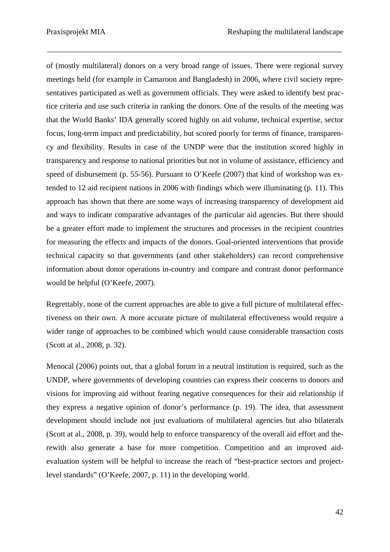of (mostly multilateral) donors on a very broad range of issues. There were regional survey meetings held (for example in Camaroon and Bangladesh) in 2006, where civil society representatives participated as well as government officials. They were asked to identify best practice criteria and use such criteria in ranking the donors. One of the results of the meeting was that the World Banks' IDA generally scored highly on aid volume, technical expertise, sector focus, long-term impact and predictability, but scored poorly for terms of finance, transparency and flexibility. Results in case of the UNDP were that the institution scored highly in transparency and response to national priorities but not in volume of assistance, efficiency and speed of disbursement (p. 55-56). Pursuant to O'Keefe (2007) that kind of workshop was extended to 12 aid recipient nations in 2006 with findings which were illuminating (p. 11). This approach has shown that there are some ways of increasing transparency of development aid and ways to indicate comparative advantages of the particular aid agencies. But there should be a greater effort made to implement the structures and processes in the recipient countries for measuring the effects and impacts of the donors. Goal-oriented interventions that provide technical capacity so that governments (and other stakeholders) can record comprehensive information about donor operations in-country and compare and contrast donor performance would be helpful (O'Keefe, 2007).

\_\_\_\_\_\_\_\_\_\_\_\_\_\_\_\_\_\_\_\_\_\_\_\_\_\_\_\_\_\_\_\_\_\_\_\_\_\_\_\_\_\_\_\_\_\_\_\_\_\_\_\_\_\_\_\_\_\_\_\_\_\_\_\_\_\_\_\_\_\_\_\_\_\_\_

Regrettably, none of the current approaches are able to give a full picture of multilateral effectiveness on their own. A more accurate picture of multilateral effectiveness would require a wider range of approaches to be combined which would cause considerable transaction costs (Scott at al., 2008, p. 32).

Menocal (2006) points out, that a global forum in a neutral institution is required, such as the UNDP, where governments of developing countries can express their concerns to donors and visions for improving aid without fearing negative consequences for their aid relationship if they express a negative opinion of donor's performance (p. 19). The idea, that assessment development should include not just evaluations of multilateral agencies but also bilaterals (Scott at al., 2008, p. 39), would help to enforce transparency of the overall aid effort and therewith also generate a base for more competition. Competition and an improved aidevaluation system will be helpful to increase the reach of "best-practice sectors and projectlevel standards" (O'Keefe, 2007, p. 11) in the developing world.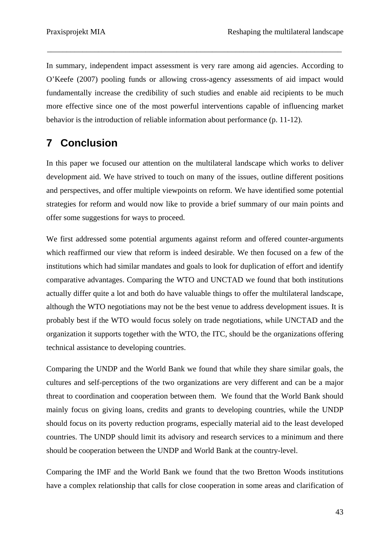In summary, independent impact assessment is very rare among aid agencies. According to O'Keefe (2007) pooling funds or allowing cross-agency assessments of aid impact would fundamentally increase the credibility of such studies and enable aid recipients to be much more effective since one of the most powerful interventions capable of influencing market behavior is the introduction of reliable information about performance (p. 11-12).

<span id="page-42-0"></span>\_\_\_\_\_\_\_\_\_\_\_\_\_\_\_\_\_\_\_\_\_\_\_\_\_\_\_\_\_\_\_\_\_\_\_\_\_\_\_\_\_\_\_\_\_\_\_\_\_\_\_\_\_\_\_\_\_\_\_\_\_\_\_\_\_\_\_\_\_\_\_\_\_\_\_

# <span id="page-42-1"></span>**7 Conclusion**

In this paper we focused our attention on the multilateral landscape which works to deliver development aid. We have strived to touch on many of the issues, outline different positions and perspectives, and offer multiple viewpoints on reform. We have identified some potential strategies for reform and would now like to provide a brief summary of our main points and offer some suggestions for ways to proceed.

We first addressed some potential arguments against reform and offered counter-arguments which reaffirmed our view that reform is indeed desirable. We then focused on a few of the institutions which had similar mandates and goals to look for duplication of effort and identify comparative advantages. Comparing the WTO and UNCTAD we found that both institutions actually differ quite a lot and both do have valuable things to offer the multilateral landscape, although the WTO negotiations may not be the best venue to address development issues. It is probably best if the WTO would focus solely on trade negotiations, while UNCTAD and the organization it supports together with the WTO, the ITC, should be the organizations offering technical assistance to developing countries.

Comparing the UNDP and the World Bank we found that while they share similar goals, the cultures and self-perceptions of the two organizations are very different and can be a major threat to coordination and cooperation between them. We found that the World Bank should mainly focus on giving loans, credits and grants to developing countries, while the UNDP should focus on its poverty reduction programs, especially material aid to the least developed countries. The UNDP should limit its advisory and research services to a minimum and there should be cooperation between the UNDP and World Bank at the country-level.

Comparing the IMF and the World Bank we found that the two Bretton Woods institutions have a complex relationship that calls for close cooperation in some areas and clarification of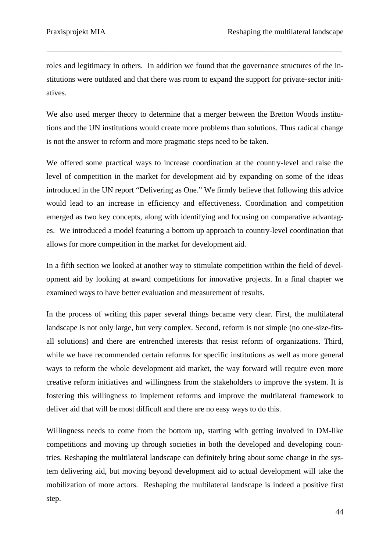roles and legitimacy in others. In addition we found that the governance structures of the institutions were outdated and that there was room to expand the support for private-sector initiatives.

\_\_\_\_\_\_\_\_\_\_\_\_\_\_\_\_\_\_\_\_\_\_\_\_\_\_\_\_\_\_\_\_\_\_\_\_\_\_\_\_\_\_\_\_\_\_\_\_\_\_\_\_\_\_\_\_\_\_\_\_\_\_\_\_\_\_\_\_\_\_\_\_\_\_\_

We also used merger theory to determine that a merger between the Bretton Woods institutions and the UN institutions would create more problems than solutions. Thus radical change is not the answer to reform and more pragmatic steps need to be taken.

We offered some practical ways to increase coordination at the country-level and raise the level of competition in the market for development aid by expanding on some of the ideas introduced in the UN report "Delivering as One." We firmly believe that following this advice would lead to an increase in efficiency and effectiveness. Coordination and competition emerged as two key concepts, along with identifying and focusing on comparative advantages. We introduced a model featuring a bottom up approach to country-level coordination that allows for more competition in the market for development aid.

In a fifth section we looked at another way to stimulate competition within the field of development aid by looking at award competitions for innovative projects. In a final chapter we examined ways to have better evaluation and measurement of results.

In the process of writing this paper several things became very clear. First, the multilateral landscape is not only large, but very complex. Second, reform is not simple (no one-size-fitsall solutions) and there are entrenched interests that resist reform of organizations. Third, while we have recommended certain reforms for specific institutions as well as more general ways to reform the whole development aid market, the way forward will require even more creative reform initiatives and willingness from the stakeholders to improve the system. It is fostering this willingness to implement reforms and improve the multilateral framework to deliver aid that will be most difficult and there are no easy ways to do this.

Willingness needs to come from the bottom up, starting with getting involved in DM-like competitions and moving up through societies in both the developed and developing countries. Reshaping the multilateral landscape can definitely bring about some change in the system delivering aid, but moving beyond development aid to actual development will take the mobilization of more actors. Reshaping the multilateral landscape is indeed a positive first step.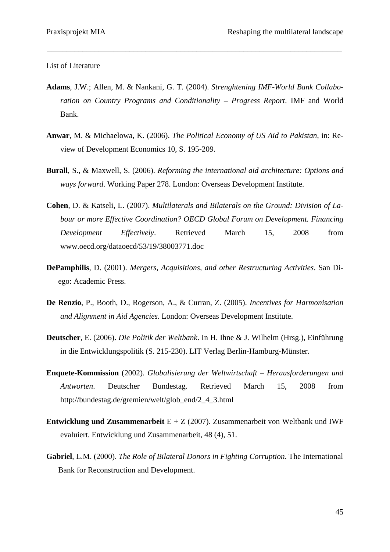List of Literature

**Adams**, J.W.; Allen, M. & Nankani, G. T. (2004). *Strenghtening IMF-World Bank Collaboration on Country Programs and Conditionality – Progress Report*. IMF and World Bank.

- **Anwar**, M. & Michaelowa, K. (2006). *The Political Economy of US Aid to Pakistan*, in: Review of Development Economics 10, S. 195-209.
- **Burall**, S., & Maxwell, S. (2006). *Reforming the international aid architecture: Options and ways forward*. Working Paper 278. London: Overseas Development Institute.
- **Cohen**, D. & Katseli, L. (2007). *Multilaterals and Bilaterals on the Ground: Division of Labour or more Effective Coordination? OECD Global Forum on Development. Financing Development Effectively*. Retrieved March 15, 2008 from www.oecd.org/dataoecd/53/19/38003771.doc
- **DePamphilis**, D. (2001). *Mergers, Acquisitions, and other Restructuring Activities*. San Diego: Academic Press.
- **De Renzio**, P., Booth, D., Rogerson, A., & Curran, Z. (2005). *Incentives for Harmonisation and Alignment in Aid Agencies*. London: Overseas Development Institute.
- **Deutscher**, E. (2006). *Die Politik der Weltbank*. In H. Ihne & J. Wilhelm (Hrsg.), Einführung in die Entwicklungspolitik (S. 215-230). LIT Verlag Berlin-Hamburg-Münster.
- **Enquete-Kommission** (2002). *Globalisierung der Weltwirtschaft Herausforderungen und Antworten*. Deutscher Bundestag. Retrieved March 15, 2008 from http://bundestag.de/gremien/welt/glob\_end/2\_4\_3.html
- **Entwicklung und Zusammenarbeit** E + Z (2007). Zusammenarbeit von Weltbank und IWF evaluiert. Entwicklung und Zusammenarbeit, 48 (4), 51.
- **Gabriel**, L.M. (2000). *The Role of Bilateral Donors in Fighting Corruption*. The International Bank for Reconstruction and Development.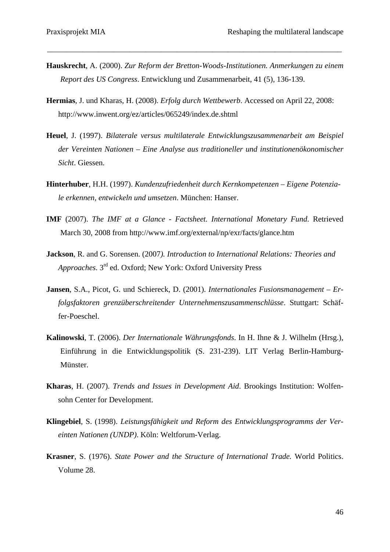**Hauskrecht**, A. (2000). *Zur Reform der Bretton-Woods-Institutionen. Anmerkungen zu einem Report des US Congress*. Entwicklung und Zusammenarbeit, 41 (5), 136-139.

- **Hermias**, J. und Kharas, H. (2008). *Erfolg durch Wettbewerb*. Accessed on April 22, 2008: http://www.inwent.org/ez/articles/065249/index.de.shtml
- **Heuel**, J. (1997). *Bilaterale versus multilaterale Entwicklungszusammenarbeit am Beispiel der Vereinten Nationen – Eine Analyse aus traditioneller und institutionenökonomischer Sicht*. Giessen.
- **Hinterhuber**, H.H. (1997). *Kundenzufriedenheit durch Kernkompetenzen Eigene Potenziale erkennen, entwickeln und umsetzen*. München: Hanser.
- **IMF** (2007). *The IMF at a Glance Factsheet. International Monetary Fund*. Retrieved March 30, 2008 from http://www.imf.org/external/np/exr/facts/glance.htm
- **Jackson**, R. and G. Sorensen. (2007*). Introduction to International Relations: Theories and Approaches*. 3rd ed. Oxford; New York: Oxford University Press
- **Jansen**, S.A., Picot, G. und Schiereck, D. (2001). *Internationales Fusionsmanagement Erfolgsfaktoren grenzüberschreitender Unternehmenszusammenschlüsse*. Stuttgart: Schäffer-Poeschel.
- **Kalinowski**, T. (2006). *Der Internationale Währungsfonds*. In H. Ihne & J. Wilhelm (Hrsg.), Einführung in die Entwicklungspolitik (S. 231-239). LIT Verlag Berlin-Hamburg-Münster.
- **Kharas**, H. (2007). *Trends and Issues in Development Aid*. Brookings Institution: Wolfensohn Center for Development.
- **Klingebiel**, S. (1998). *Leistungsfähigkeit und Reform des Entwicklungsprogramms der Vereinten Nationen (UNDP)*. Köln: Weltforum-Verlag.
- **Krasner**, S. (1976). *State Power and the Structure of International Trade.* World Politics. Volume 28.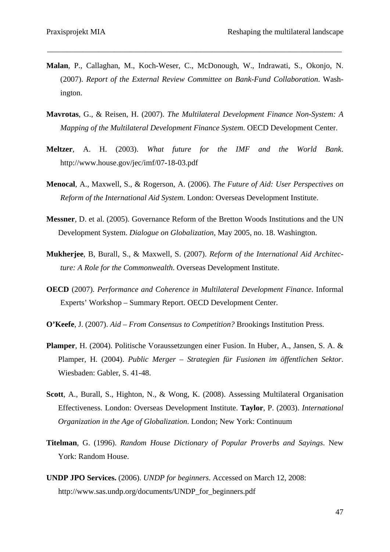**Malan**, P., Callaghan, M., Koch-Weser, C., McDonough, W., Indrawati, S., Okonjo, N. (2007). *Report of the External Review Committee on Bank-Fund Collaboration*. Washington.

- **Mavrotas**, G., & Reisen, H. (2007). *The Multilateral Development Finance Non-System: A Mapping of the Multilateral Development Finance System*. OECD Development Center.
- **Meltzer**, A. H. (2003). *What future for the IMF and the World Bank*. http://www.house.gov/jec/imf/07-18-03.pdf
- **Menocal**, A., Maxwell, S., & Rogerson, A. (2006). *The Future of Aid: User Perspectives on Reform of the International Aid System*. London: Overseas Development Institute.
- **Messner**, D. et al. (2005). Governance Reform of the Bretton Woods Institutions and the UN Development System. *Dialogue on Globalization*, May 2005, no. 18. Washington.
- **Mukherjee**, B, Burall, S., & Maxwell, S. (2007). *Reform of the International Aid Architecture: A Role for the Commonwealth*. Overseas Development Institute.
- **OECD** (2007). *Performance and Coherence in Multilateral Development Finance*. Informal Experts' Workshop – Summary Report. OECD Development Center.
- **O'Keefe**, J. (2007). *Aid From Consensus to Competition?* Brookings Institution Press.
- **Plamper**, H. (2004). Politische Voraussetzungen einer Fusion. In Huber, A., Jansen, S. A. & Plamper, H. (2004). *Public Merger – Strategien für Fusionen im öffentlichen Sektor*. Wiesbaden: Gabler, S. 41-48.
- **Scott**, A., Burall, S., Highton, N., & Wong, K. (2008). Assessing Multilateral Organisation Effectiveness. London: Overseas Development Institute. **Taylor**, P. (2003). *International Organization in the Age of Globalization*. London; New York: Continuum
- **Titelman**, G. (1996). *Random House Dictionary of Popular Proverbs and Sayings*. New York: Random House.
- **UNDP JPO Services.** (2006). *UNDP for beginners*. Accessed on March 12, 2008: http://www.sas.undp.org/documents/UNDP\_for\_beginners.pdf